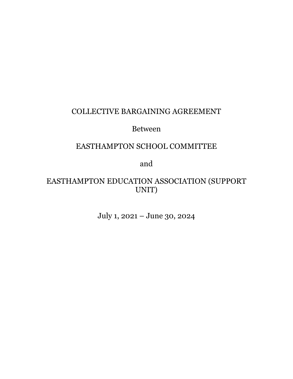# COLLECTIVE BARGAINING AGREEMENT

# Between

# EASTHAMPTON SCHOOL COMMITTEE

and

# EASTHAMPTON EDUCATION ASSOCIATION (SUPPORT UNIT)

July 1, 2021 – June 30, 2024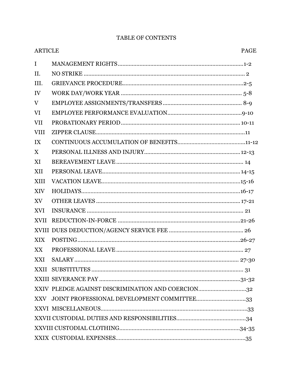# TABLE OF CONTENTS

| <b>ARTICLE</b> | <b>PAGE</b>                                       |
|----------------|---------------------------------------------------|
| $\mathbf I$    |                                                   |
| II.            |                                                   |
| III.           |                                                   |
| IV             |                                                   |
| V              |                                                   |
| VI             |                                                   |
| <b>VII</b>     |                                                   |
| <b>VIII</b>    |                                                   |
| IX             |                                                   |
| X              |                                                   |
| XI             |                                                   |
| XII            |                                                   |
| XIII           |                                                   |
| XIV            |                                                   |
| XV             |                                                   |
| <b>XVI</b>     |                                                   |
| <b>XVII</b>    |                                                   |
|                |                                                   |
| XIX            |                                                   |
| XX             |                                                   |
| XXI            |                                                   |
|                |                                                   |
|                |                                                   |
|                | XXIV PLEDGE AGAINST DISCRIMINATION AND COERCION32 |
|                | XXV JOINT PROFESSIONAL DEVELOPMENT COMMITTEE33    |
|                |                                                   |
|                |                                                   |
|                |                                                   |
|                |                                                   |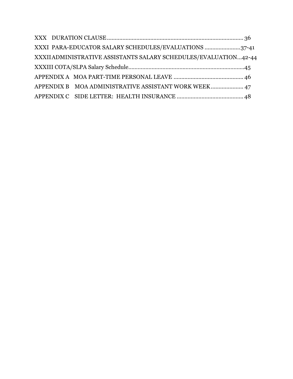|  | XXXI PARA-EDUCATOR SALARY SCHEDULES/EVALUATIONS 37-41           |  |
|--|-----------------------------------------------------------------|--|
|  | XXXIIADMINISTRATIVE ASSISTANTS SALARY SCHEDULES/EVALUATION42-44 |  |
|  |                                                                 |  |
|  |                                                                 |  |
|  | APPENDIX B MOA ADMINISTRATIVE ASSISTANT WORK WEEK 47            |  |
|  |                                                                 |  |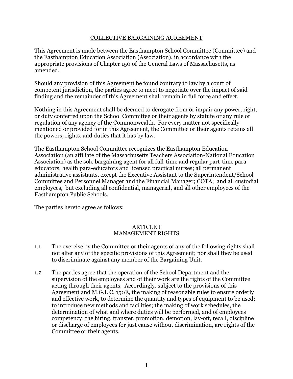#### COLLECTIVE BARGAINING AGREEMENT

This Agreement is made between the Easthampton School Committee (Committee) and the Easthampton Education Association (Association), in accordance with the appropriate provisions of Chapter 150 of the General Laws of Massachusetts, as amended.

Should any provision of this Agreement be found contrary to law by a court of competent jurisdiction, the parties agree to meet to negotiate over the impact of said finding and the remainder of this Agreement shall remain in full force and effect.

Nothing in this Agreement shall be deemed to derogate from or impair any power, right, or duty conferred upon the School Committee or their agents by statute or any rule or regulation of any agency of the Commonwealth. For every matter not specifically mentioned or provided for in this Agreement, the Committee or their agents retains all the powers, rights, and duties that it has by law.

The Easthampton School Committee recognizes the Easthampton Education Association (an affiliate of the Massachusetts Teachers Association-National Education Association) as the sole bargaining agent for all full-time and regular part-time paraeducators, health para-educators and licensed practical nurses; all permanent administrative assistants, except the Executive Assistant to the Superintendent/School Committee and Personnel Manager and the Financial Manager; COTA; and all custodial employees, but excluding all confidential, managerial, and all other employees of the Easthampton Public Schools.

The parties hereto agree as follows:

#### ARTICLE I MANAGEMENT RIGHTS

- 1.1 The exercise by the Committee or their agents of any of the following rights shall not alter any of the specific provisions of this Agreement; nor shall they be used to discriminate against any member of the Bargaining Unit.
- 1.2 The parties agree that the operation of the School Department and the supervision of the employees and of their work are the rights of the Committee acting through their agents. Accordingly, subject to the provisions of this Agreement and M.G.L C. 150E, the making of reasonable rules to ensure orderly and effective work, to determine the quantity and types of equipment to be used; to introduce new methods and facilities; the making of work schedules, the determination of what and where duties will be performed, and of employees competency; the hiring, transfer, promotion, demotion, lay-off, recall, discipline or discharge of employees for just cause without discrimination, are rights of the Committee or their agents.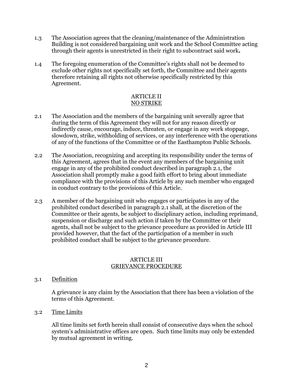- 1.3 The Association agrees that the cleaning/maintenance of the Administration Building is not considered bargaining unit work and the School Committee acting through their agents is unrestricted in their right to subcontract said work**.**
- 1.4 The foregoing enumeration of the Committee's rights shall not be deemed to exclude other rights not specifically set forth, the Committee and their agents therefore retaining all rights not otherwise specifically restricted by this Agreement.

# ARTICLE II NO STRIKE

- 2.1 The Association and the members of the bargaining unit severally agree that during the term of this Agreement they will not for any reason directly or indirectly cause, encourage, induce, threaten, or engage in any work stoppage, slowdown, strike, withholding of services, or any interference with the operations of any of the functions of the Committee or of the Easthampton Public Schools.
- 2.2 The Association, recognizing and accepting its responsibility under the terms of this Agreement, agrees that in the event any members of the bargaining unit engage in any of the prohibited conduct described in paragraph 2.1, the Association shall promptly make a good faith effort to bring about immediate compliance with the provisions of this Article by any such member who engaged in conduct contrary to the provisions of this Article.
- 2.3 A member of the bargaining unit who engages or participates in any of the prohibited conduct described in paragraph 2.1 shall, at the discretion of the Committee or their agents, be subject to disciplinary action, including reprimand, suspension or discharge and such action if taken by the Committee or their agents, shall not be subject to the grievance procedure as provided in Article III provided however, that the fact of the participation of a member in such prohibited conduct shall be subject to the grievance procedure.

#### ARTICLE III GRIEVANCE PROCEDURE

# 3.1 Definition

A grievance is any claim by the Association that there has been a violation of the terms of this Agreement.

3.2 Time Limits

All time limits set forth herein shall consist of consecutive days when the school system's administrative offices are open. Such time limits may only be extended by mutual agreement in writing.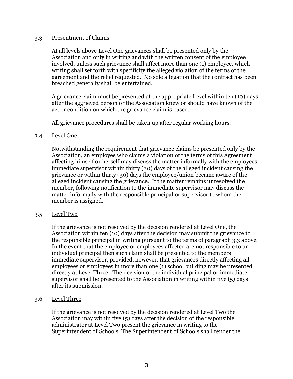#### 3.3 Presentment of Claims

At all levels above Level One grievances shall be presented only by the Association and only in writing and with the written consent of the employee involved, unless such grievance shall affect more than one (1) employee, which writing shall set forth with specificity the alleged violation of the terms of the agreement and the relief requested. No sole allegation that the contract has been breached generally shall be entertained.

A grievance claim must be presented at the appropriate Level within ten (10) days after the aggrieved person or the Association knew or should have known of the act or condition on which the grievance claim is based.

All grievance procedures shall be taken up after regular working hours.

# 3.4 Level One

Notwithstanding the requirement that grievance claims be presented only by the Association, an employee who claims a violation of the terms of this Agreement affecting himself or herself may discuss the matter informally with the employees immediate supervisor within thirty (30) days of the alleged incident causing the grievance or within thirty (30) days the employee/union became aware of the alleged incident causing the grievance. If the matter remains unresolved the member, following notification to the immediate supervisor may discuss the matter informally with the responsible principal or supervisor to whom the member is assigned.

# 3.5 Level Two

If the grievance is not resolved by the decision rendered at Level One, the Association within ten (10) days after the decision may submit the grievance to the responsible principal in writing pursuant to the terms of paragraph 3.3 above. In the event that the employee or employees affected are not responsible to an individual principal then such claim shall be presented to the members immediate supervisor, provided, however, that grievances directly affecting all employees or employees in more than one (1) school building may be presented directly at Level Three. The decision of the individual principal or immediate supervisor shall be presented to the Association in writing within five (5) days after its submission.

# 3.6 Level Three

If the grievance is not resolved by the decision rendered at Level Two the Association may within five (5) days after the decision of the responsible administrator at Level Two present the grievance in writing to the Superintendent of Schools. The Superintendent of Schools shall render the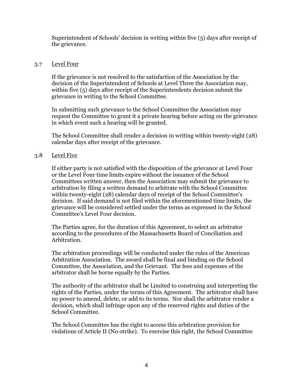Superintendent of Schools' decision in writing within five (5) days after receipt of the grievance.

## 3.7 Level Four

If the grievance is not resolved to the satisfaction of the Association by the decision of the Superintendent of Schools at Level Three the Association may, within five (5) days after receipt of the Superintendents decision submit the grievance in writing to the School Committee.

In submitting such grievance to the School Committee the Association may request the Committee to grant it a private hearing before acting on the grievance in which event such a hearing will be granted.

The School Committee shall render a decision in writing within twenty-eight (28) calendar days after receipt of the grievance.

# 3.8 Level Five

If either party is not satisfied with the disposition of the grievance at Level Four or the Level Four time limits expire without the issuance of the School Committees written answer, then the Association may submit the grievance to arbitration by filing a written demand to arbitrate with the School Committee within twenty-eight (28) calendar days of receipt of the School Committee's decision. If said demand is not filed within the aforementioned time limits, the grievance will be considered settled under the terms as expressed in the School Committee's Level Four decision.

The Parties agree, for the duration of this Agreement, to select an arbitrator according to the procedures of the Massachusetts Board of Conciliation and Arbitration.

The arbitration proceedings will be conducted under the rules of the American Arbitration Association. The award shall be final and binding on the School Committee, the Association, and the Grievant. The fees and expenses of the arbitrator shall be borne equally by the Parties.

The authority of the arbitrator shall be Limited to construing and interpreting the rights of the Parties, under the terms of this Agreement. The arbitrator shall have no power to amend, delete, or add to its terms. Nor shall the arbitrator render a decision, which shall infringe upon any of the reserved rights and duties of the School Committee.

The School Committee has the right to access this arbitration provision for violations of Article II (No-strike). To exercise this right, the School Committee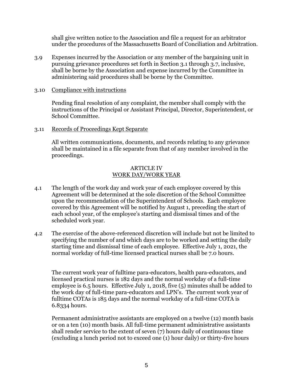shall give written notice to the Association and file a request for an arbitrator under the procedures of the Massachusetts Board of Conciliation and Arbitration.

3.9 Expenses incurred by the Association or any member of the bargaining unit in pursuing grievance procedures set forth in Section 3.1 through 3.7, inclusive, shall be borne by the Association and expense incurred by the Committee in administering said procedures shall be borne by the Committee.

#### 3.10 Compliance with instructions

Pending final resolution of any complaint, the member shall comply with the instructions of the Principal or Assistant Principal, Director, Superintendent, or School Committee.

#### 3.11 Records of Proceedings Kept Separate

All written communications, documents, and records relating to any grievance shall be maintained in a file separate from that of any member involved in the proceedings.

#### ARTICLE IV WORK DAY/WORK YEAR

- 4.1 The length of the work day and work year of each employee covered by this Agreement will be determined at the sole discretion of the School Committee upon the recommendation of the Superintendent of Schools. Each employee covered by this Agreement will be notified by August 1, preceding the start of each school year, of the employee's starting and dismissal times and of the scheduled work year.
- 4.2 The exercise of the above-referenced discretion will include but not be limited to specifying the number of and which days are to be worked and setting the daily starting time and dismissal time of each employee. Effective July 1, 2021, the normal workday of full-time licensed practical nurses shall be 7.0 hours.

The current work year of fulltime para-educators, health para-educators, and licensed practical nurses is 182 days and the normal workday of a full-time employee is 6.5 hours. Effective July 1, 2018, five (5) minutes shall be added to the work day of full-time para-educators and LPN's. The current work year of fulltime COTAs is 185 days and the normal workday of a full-time COTA is 6.8334 hours.

Permanent administrative assistants are employed on a twelve (12) month basis or on a ten (10) month basis. All full-time permanent administrative assistants shall render service to the extent of seven (7) hours daily of continuous time (excluding a lunch period not to exceed one (1) hour daily) or thirty-five hours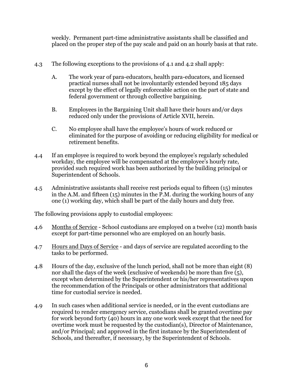weekly. Permanent part-time administrative assistants shall be classified and placed on the proper step of the pay scale and paid on an hourly basis at that rate.

- 4.3 The following exceptions to the provisions of 4.1 and 4.2 shall apply:
	- A. The work year of para-educators, health para-educators, and licensed practical nurses shall not be involuntarily extended beyond 185 days except by the effect of legally enforceable action on the part of state and federal government or through collective bargaining.
	- B. Employees in the Bargaining Unit shall have their hours and/or days reduced only under the provisions of Article XVII, herein.
	- C. No employee shall have the employee's hours of work reduced or eliminated for the purpose of avoiding or reducing eligibility for medical or retirement benefits.
- 4.4 If an employee is required to work beyond the employee's regularly scheduled workday, the employee will be compensated at the employee's hourly rate, provided such required work has been authorized by the building principal or Superintendent of Schools.
- 4.5 Administrative assistants shall receive rest periods equal to fifteen (15) minutes in the A.M. and fifteen (15) minutes in the P.M. during the working hours of any one (1) working day, which shall be part of the daily hours and duty free.

The following provisions apply to custodial employees:

- 4.6 Months of Service School custodians are employed on a twelve (12) month basis except for part-time personnel who are employed on an hourly basis.
- 4.7 Hours and Days of Service and days of service are regulated according to the tasks to be performed.
- 4.8 Hours of the day, exclusive of the lunch period, shall not be more than eight (8) nor shall the days of the week (exclusive of weekends) be more than five (5), except when determined by the Superintendent or his/her representatives upon the recommendation of the Principals or other administrators that additional time for custodial service is needed.
- 4.9 In such cases when additional service is needed, or in the event custodians are required to render emergency service, custodians shall be granted overtime pay for work beyond forty (40) hours in any one work week except that the need for overtime work must be requested by the custodian(s), Director of Maintenance, and/or Principal; and approved in the first instance by the Superintendent of Schools, and thereafter, if necessary, by the Superintendent of Schools.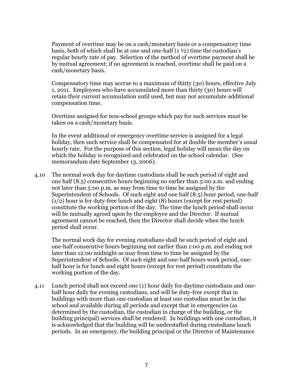Payment of overtime may be on a cash/monetary basis or a compensatory time basis, both of which shall be at one and one-half  $(1 \frac{1}{2})$  time the custodian's regular hourly rate of pay. Selection of the method of overtime payment shall be by mutual agreement; if no agreement is reached, overtime shall be paid on a cash/monetary basis.

Compensatory time may accrue to a maximum of thirty (30) hours, effective July 1, 2011. Employees who have accumulated more than thirty (30) hours will retain their current accumulation until used, but may not accumulate additional compensation time.

Overtime assigned for non-school groups which pay for such services must be taken on a cash/monetary basis.

In the event additional or emergency overtime service is assigned for a legal holiday, then such service shall be compensated for at double the member's usual hourly rate. For the purpose of this section, legal holiday will mean the day on which the holiday is recognized and celebrated on the school calendar. (See memorandum date September 13, 2006).

4.10 The normal work day for daytime custodians shall be such period of eight and one half (8.5) consecutive hours beginning no earlier than 5:00 a.m. and ending not later than 5:00 p.m. as may from time to time be assigned by the Superintendent of Schools. Of such eight and one half (8.5) hour period, one-half (1/2) hour is for duty-free lunch and eight (8) hours (except for rest period) constitute the working portion of the day. The time the lunch period shall occur will be mutually agreed upon by the employee and the Director. If mutual agreement cannot be reached, then the Director shall decide when the lunch period shall occur.

The normal work day for evening custodians shall be such period of eight and one-half consecutive hours beginning not earlier than 1:00 p.m. and ending not later than 12:00 midnight as may from time to time be assigned by the Superintendent of Schools. Of such eight and one-half hours work period, onehalf hour is for lunch and eight hours (except for rest period) constitute the working portion of the day.

4.11 Lunch period shall not exceed one (1) hour daily for daytime custodians and onehalf hour daily for evening custodians, and will be duty-free except that in buildings with more than one custodian at least one custodian must be in the school and available during all periods and except that in emergencies (as determined by the custodian, the custodian in charge of the building, or the building principal) services shall be rendered. In buildings with one custodian, it is acknowledged that the building will be understaffed during custodians lunch periods. In an emergency, the building principal or the Director of Maintenance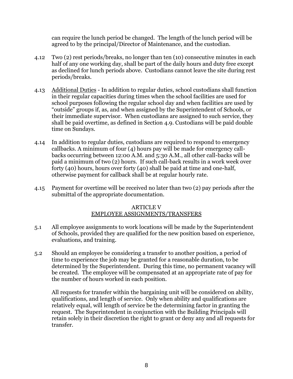can require the lunch period be changed. The length of the lunch period will be agreed to by the principal/Director of Maintenance, and the custodian.

- 4.12 Two (2) rest periods/breaks, no longer than ten (10) consecutive minutes in each half of any one working day, shall be part of the daily hours and duty free except as declined for lunch periods above. Custodians cannot leave the site during rest periods/breaks.
- 4.13 Additional Duties In addition to regular duties, school custodians shall function in their regular capacities during times when the school facilities are used for school purposes following the regular school day and when facilities are used by "outside" groups if, as, and when assigned by the Superintendent of Schools, or their immediate supervisor. When custodians are assigned to such service, they shall be paid overtime, as defined in Section 4.9. Custodians will be paid double time on Sundays.
- 4.14 In addition to regular duties, custodians are required to respond to emergency callbacks. A minimum of four (4) hours pay will be made for emergency callbacks occurring between 12:00 A.M. and 5:30 A.M., all other call-backs will be paid a minimum of two (2) hours. If such call-back results in a work week over forty (40) hours, hours over forty (40) shall be paid at time and one-half, otherwise payment for callback shall be at regular hourly rate.
- 4.15 Payment for overtime will be received no later than two (2) pay periods after the submittal of the appropriate documentation.

# ARTICLE V EMPLOYEE ASSIGNMENTS/TRANSFERS

- 5.1 All employee assignments to work locations will be made by the Superintendent of Schools, provided they are qualified for the new position based on experience, evaluations, and training.
- 5.2 Should an employee be considering a transfer to another position, a period of time to experience the job may be granted for a reasonable duration, to be determined by the Superintendent. During this time, no permanent vacancy will be created. The employee will be compensated at an appropriate rate of pay for the number of hours worked in each position.

All requests for transfer within the bargaining unit will be considered on ability, qualifications, and length of service. Only when ability and qualifications are relatively equal, will length of service be the determining factor in granting the request. The Superintendent in conjunction with the Building Principals will retain solely in their discretion the right to grant or deny any and all requests for transfer.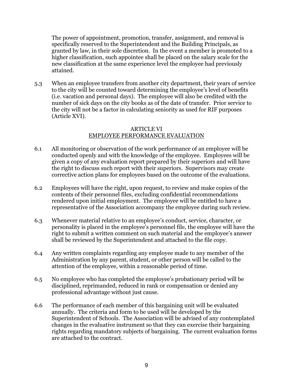The power of appointment, promotion, transfer, assignment, and removal is specifically reserved to the Superintendent and the Building Principals, as granted by law, in their sole discretion. In the event a member is promoted to a higher classification, such appointee shall be placed on the salary scale for the new classification at the same experience level the employee had previously attained.

5.3 When an employee transfers from another city department, their years of service to the city will be counted toward determining the employee's level of benefits (i.e. vacation and personal days). The employee will also be credited with the number of sick days on the city books as of the date of transfer. Prior service to the city will not be a factor in calculating seniority as used for RIF purposes (Article XVI).

## ARTICLE VI EMPLOYEE PERFORMANCE EVALUATION

- 6.1 All monitoring or observation of the work performance of an employee will be conducted openly and with the knowledge of the employee. Employees will be given a copy of any evaluation report prepared by their superiors and will have the right to discuss such report with their superiors. Supervisors may create corrective action plans for employees based on the outcome of the evaluations.
- 6.2 Employees will have the right, upon request, to review and make copies of the contents of their personnel files, excluding confidential recommendations rendered upon initial employment. The employee will be entitled to have a representative of the Association accompany the employee during such review.
- 6.3 Whenever material relative to an employee's conduct, service, character, or personality is placed in the employee's personnel file, the employee will have the right to submit a written comment on such material and the employee's answer shall be reviewed by the Superintendent and attached to the file copy.
- 6.4 Any written complaints regarding any employee made to any member of the Administration by any parent, student, or other person will be called to the attention of the employee, within a reasonable period of time.
- 6.5 No employee who has completed the employee's probationary period will be disciplined, reprimanded, reduced in rank or compensation or denied any professional advantage without just cause.
- 6.6 The performance of each member of this bargaining unit will be evaluated annually. The criteria and form to be used will be developed by the Superintendent of Schools. The Association will be advised of any contemplated changes in the evaluative instrument so that they can exercise their bargaining rights regarding mandatory subjects of bargaining. The current evaluation forms are attached to the contract.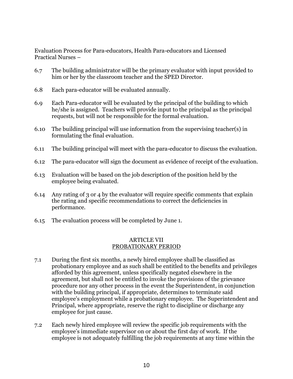Evaluation Process for Para-educators, Health Para-educators and Licensed Practical Nurses –

- 6.7 The building administrator will be the primary evaluator with input provided to him or her by the classroom teacher and the SPED Director.
- 6.8 Each para-educator will be evaluated annually.
- 6.9 Each Para-educator will be evaluated by the principal of the building to which he/she is assigned. Teachers will provide input to the principal as the principal requests, but will not be responsible for the formal evaluation.
- 6.10 The building principal will use information from the supervising teacher(s) in formulating the final evaluation.
- 6.11 The building principal will meet with the para-educator to discuss the evaluation.
- 6.12 The para-educator will sign the document as evidence of receipt of the evaluation.
- 6.13 Evaluation will be based on the job description of the position held by the employee being evaluated.
- 6.14 Any rating of 3 or 4 by the evaluator will require specific comments that explain the rating and specific recommendations to correct the deficiencies in performance.
- 6.15 The evaluation process will be completed by June 1.

#### ARTICLE VII PROBATIONARY PERIOD

- 7.1 During the first six months, a newly hired employee shall be classified as probationary employee and as such shall be entitled to the benefits and privileges afforded by this agreement, unless specifically negated elsewhere in the agreement, but shall not be entitled to invoke the provisions of the grievance procedure nor any other process in the event the Superintendent, in conjunction with the building principal, if appropriate, determines to terminate said employee's employment while a probationary employee. The Superintendent and Principal, where appropriate, reserve the right to discipline or discharge any employee for just cause.
- 7.2 Each newly hired employee will review the specific job requirements with the employee's immediate supervisor on or about the first day of work. If the employee is not adequately fulfilling the job requirements at any time within the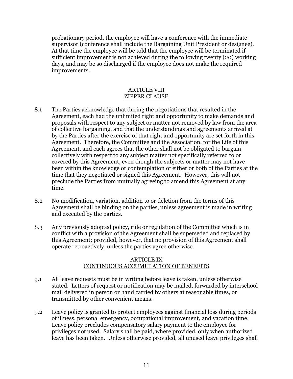probationary period, the employee will have a conference with the immediate supervisor (conference shall include the Bargaining Unit President or designee). At that time the employee will be told that the employee will be terminated if sufficient improvement is not achieved during the following twenty (20) working days, and may be so discharged if the employee does not make the required improvements.

#### ARTICLE VIII ZIPPER CLAUSE

- 8.1 The Parties acknowledge that during the negotiations that resulted in the Agreement, each had the unlimited right and opportunity to make demands and proposals with respect to any subject or matter not removed by law from the area of collective bargaining, and that the understandings and agreements arrived at by the Parties after the exercise of that right and opportunity are set forth in this Agreement. Therefore, the Committee and the Association, for the Life of this Agreement, and each agrees that the other shall not be obligated to bargain collectively with respect to any subject matter not specifically referred to or covered by this Agreement, even though the subjects or matter may not have been within the knowledge or contemplation of either or both of the Parties at the time that they negotiated or signed this Agreement. However, this will not preclude the Parties from mutually agreeing to amend this Agreement at any time.
- 8.2 No modification, variation, addition to or deletion from the terms of this Agreement shall be binding on the parties, unless agreement is made in writing and executed by the parties.
- 8.3 Any previously adopted policy, rule or regulation of the Committee which is in conflict with a provision of the Agreement shall be superseded and replaced by this Agreement; provided, however, that no provision of this Agreement shall operate retroactively, unless the parties agree otherwise.

#### ARTICLE IX CONTINUOUS ACCUMULATION OF BENEFITS

- 9.1 All leave requests must be in writing before leave is taken, unless otherwise stated. Letters of request or notification may be mailed, forwarded by interschool mail delivered in person or hand carried by others at reasonable times, or transmitted by other convenient means.
- 9.2 Leave policy is granted to protect employees against financial loss during periods of illness, personal emergency, occupational improvement, and vacation time. Leave policy precludes compensatory salary payment to the employee for privileges not used. Salary shall be paid, where provided, only when authorized leave has been taken. Unless otherwise provided, all unused leave privileges shall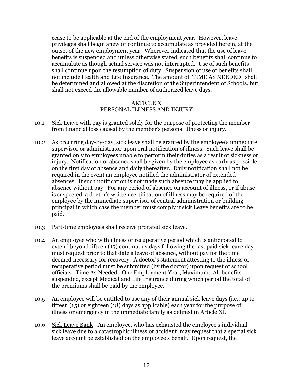cease to be applicable at the end of the employment year. However, leave privileges shall begin anew or continue to accumulate as provided herein, at the outset of the new employment year. Wherever indicated that the use of leave benefits is suspended and unless otherwise stated, such benefits shall continue to accumulate as though actual service was not interrupted. Use of such benefits shall continue upon the resumption of duty. Suspension of use of benefits shall not include Health and Life Insurance. The amount of "TIME AS NEEDED" shall be determined and allowed at the discretion of the Superintendent of Schools, but shall not exceed the allowable number of authorized leave days.

#### ARTICLE X PERSONAL ILLNESS AND INJURY

- 10.1 Sick Leave with pay is granted solely for the purpose of protecting the member from financial loss caused by the member's personal illness or injury.
- 10.2 As occurring day-by-day, sick leave shall be granted by the employee's immediate supervisor or administrator upon oral notification of illness. Such leave shall be granted only to employees unable to perform their duties as a result of sickness or injury. Notification of absence shall be given by the employee as early as possible on the first day of absence and daily thereafter. Daily notification shall not be required in the event an employee notified the administrator of extended absences. If such notification is not made such absence may be applied to absence without pay. For any period of absence on account of illness, or if abuse is suspected, a doctor's written certification of illness may be required of the employee by the immediate supervisor of central administration or building principal in which case the member must comply if sick Leave benefits are to be paid.
- 10.3 Part-time employees shall receive prorated sick leave.
- 10.4 An employee who with illness or recuperative period which is anticipated to extend beyond fifteen (15) continuous days following the last paid sick leave day must request prior to that date a leave of absence, without pay for the time deemed necessary for recovery. A doctor's statement attesting to the illness or recuperative period must be submitted (by the doctor) upon request of school officials. Time As Needed: One Employment Year, Maximum. All benefits suspended, except Medical and Life Insurance during which period the total of the premiums shall be paid by the employee.
- 10.5 An employee will be entitled to use any of their annual sick leave days (i.e., up to fifteen (15) or eighteen (18) days as applicable) each year for the purpose of illness or emergency in the immediate family as defined in Article XI.
- 10.6 Sick Leave Bank An employee, who has exhausted the employee's individual sick leave due to a catastrophic illness or accident, may request that a special sick leave account be established on the employee's behalf. Upon request, the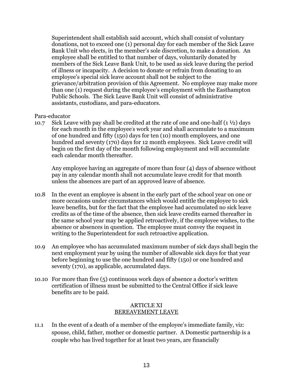Superintendent shall establish said account, which shall consist of voluntary donations, not to exceed one (1) personal day for each member of the Sick Leave Bank Unit who elects, in the member's sole discretion, to make a donation. An employee shall be entitled to that number of days, voluntarily donated by members of the Sick Leave Bank Unit, to be used as sick leave during the period of illness or incapacity. A decision to donate or refrain from donating to an employee's special sick leave account shall not be subject to the grievance/arbitration provision of this Agreement. No employee may make more than one (1) request during the employee's employment with the Easthampton Public Schools. The Sick Leave Bank Unit will consist of administrative assistants, custodians, and para-educators.

# Para-educator

10.7 Sick Leave with pay shall be credited at the rate of one and one-half  $(1 \frac{1}{2})$  days for each month in the employee's work year and shall accumulate to a maximum of one hundred and fifty (150) days for ten (10) month employees, and one hundred and seventy (170) days for 12 month employees. Sick Leave credit will begin on the first day of the month following employment and will accumulate each calendar month thereafter.

Any employee having an aggregate of more than four (4) days of absence without pay in any calendar month shall not accumulate leave credit for that month unless the absences are part of an approved leave of absence.

- 10.8 In the event an employee is absent in the early part of the school year on one or more occasions under circumstances which would entitle the employee to sick leave benefits, but for the fact that the employee had accumulated no sick leave credits as of the time of the absence, then sick leave credits earned thereafter in the same school year may be applied retroactively, if the employee wishes, to the absence or absences in question. The employee must convey the request in writing to the Superintendent for such retroactive application.
- 10.9 An employee who has accumulated maximum number of sick days shall begin the next employment year by using the number of allowable sick days for that year before beginning to use the one hundred and fifty (150) or one hundred and seventy (170), as applicable, accumulated days.
- 10.10 For more than five (5) continuous work days of absence a doctor's written certification of illness must be submitted to the Central Office if sick leave benefits are to be paid.

#### ARTICLE XI BEREAVEMENT LEAVE

11.1 In the event of a death of a member of the employee's immediate family, viz: spouse, child, father, mother or domestic partner. A Domestic partnership is a couple who has lived together for at least two years, are financially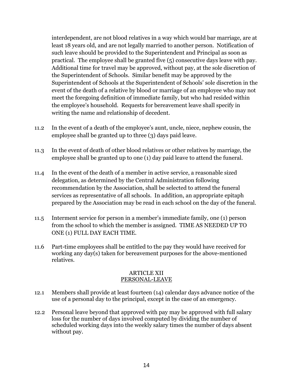interdependent, are not blood relatives in a way which would bar marriage, are at least 18 years old, and are not legally married to another person. Notification of such leave should be provided to the Superintendent and Principal as soon as practical. The employee shall be granted five (5) consecutive days leave with pay. Additional time for travel may be approved, without pay, at the sole discretion of the Superintendent of Schools. Similar benefit may be approved by the Superintendent of Schools at the Superintendent of Schools' sole discretion in the event of the death of a relative by blood or marriage of an employee who may not meet the foregoing definition of immediate family, but who had resided within the employee's household. Requests for bereavement leave shall specify in writing the name and relationship of decedent.

- 11.2 In the event of a death of the employee's aunt, uncle, niece, nephew cousin, the employee shall be granted up to three (3) days paid leave.
- 11.3 In the event of death of other blood relatives or other relatives by marriage, the employee shall be granted up to one (1) day paid leave to attend the funeral.
- 11.4 In the event of the death of a member in active service, a reasonable sized delegation, as determined by the Central Administration following recommendation by the Association, shall be selected to attend the funeral services as representative of all schools. In addition, an appropriate epitaph prepared by the Association may be read in each school on the day of the funeral.
- 11.5 Interment service for person in a member's immediate family, one (1) person from the school to which the member is assigned. TIME AS NEEDED UP TO ONE (1) FULL DAY EACH TIME.
- 11.6 Part-time employees shall be entitled to the pay they would have received for working any day(s) taken for bereavement purposes for the above-mentioned relatives.

#### ARTICLE XII PERSONAL-LEAVE

- 12.1 Members shall provide at least fourteen (14) calendar days advance notice of the use of a personal day to the principal, except in the case of an emergency.
- 12.2 Personal leave beyond that approved with pay may be approved with full salary loss for the number of days involved computed by dividing the number of scheduled working days into the weekly salary times the number of days absent without pay.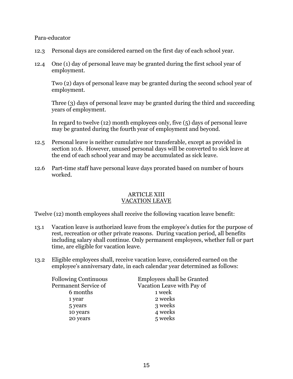Para-educator

- 12.3 Personal days are considered earned on the first day of each school year.
- 12.4 One (1) day of personal leave may be granted during the first school year of employment.

Two (2) days of personal leave may be granted during the second school year of employment.

Three (3) days of personal leave may be granted during the third and succeeding years of employment.

In regard to twelve (12) month employees only, five (5) days of personal leave may be granted during the fourth year of employment and beyond.

- 12.5 Personal leave is neither cumulative nor transferable, except as provided in section 10.6. However, unused personal days will be converted to sick leave at the end of each school year and may be accumulated as sick leave.
- 12.6 Part-time staff have personal leave days prorated based on number of hours worked.

#### ARTICLE XIII VACATION LEAVE

Twelve (12) month employees shall receive the following vacation leave benefit:

- 13.1 Vacation leave is authorized leave from the employee's duties for the purpose of rest, recreation or other private reasons. During vacation period, all benefits including salary shall continue. Only permanent employees, whether full or part time, are eligible for vacation leave.
- 13.2 Eligible employees shall, receive vacation leave, considered earned on the employee's anniversary date, in each calendar year determined as follows:

| <b>Following Continuous</b> | Employees shall be Granted |
|-----------------------------|----------------------------|
| Permanent Service of        | Vacation Leave with Pay of |
| 6 months                    | 1 week                     |
| 1 year                      | 2 weeks                    |
| 5 years                     | 3 weeks                    |
| 10 years                    | 4 weeks                    |
| 20 years                    | 5 weeks                    |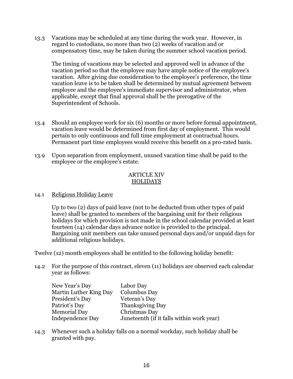13.3 Vacations may be scheduled at any time during the work year. However, in regard to custodians, no more than two (2) weeks of vacation and or compensatory time, may be taken during the summer school vacation period.

The timing of vacations may be selected and approved well in advance of the vacation period so that the employee may have ample notice of the employee's vacation. After giving due consideration to the employee's preference, the time vacation leave is to be taken shall be determined by mutual agreement between employee and the employee's immediate supervisor and administrator, when applicable, except that final approval shall be the prerogative of the Superintendent of Schools.

- 13.4 Should an employee work for six (6) months or more before formal appointment, vacation leave would be determined from first day of employment. This would pertain to only continuous and full time employment at contractual hours. Permanent part time employees would receive this benefit on a pro-rated basis.
- 13.9 Upon separation from employment, unused vacation time shall be paid to the employee or the employee's estate.

# ARTICLE XIV HOLIDAYS

# 14.1 Religious Holiday Leave

Up to two (2) days of paid leave (not to be deducted from other types of paid leave) shall be granted to members of the bargaining unit for their religious holidays for which provision is not made in the school calendar provided at least fourteen (14) calendar days advance notice is provided to the principal. Bargaining unit members can take unused personal days and/or unpaid days for additional religious holidays.

Twelve (12) month employees shall be entitled to the following holiday benefit:

14.2 For the purpose of this contract, eleven (11) holidays are observed each calendar year as follows:

| New Year's Day         | Labor Day                                 |
|------------------------|-------------------------------------------|
| Martin Luther King Day | Columbus Day                              |
| President's Day        | Veteran's Day                             |
| Patriot's Day          | Thanksgiving Day                          |
| <b>Memorial Day</b>    | Christmas Day                             |
| Independence Day       | Juneteenth (if it falls within work year) |

14.3 Whenever such a holiday falls on a normal workday, such holiday shall be granted with pay.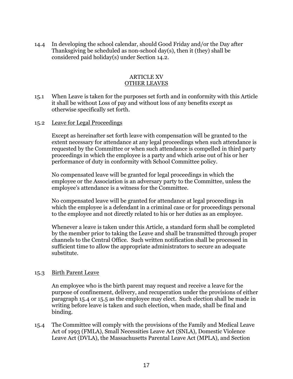14.4 In developing the school calendar, should Good Friday and/or the Day after Thanksgiving be scheduled as non-school day(s), then it (they) shall be considered paid holiday(s) under Section 14.2.

#### ARTICLE XV OTHER LEAVES

15.1 When Leave is taken for the purposes set forth and in conformity with this Article it shall be without Loss of pay and without loss of any benefits except as otherwise specifically set forth.

#### 15.2 Leave for Legal Proceedings

Except as hereinafter set forth leave with compensation will be granted to the extent necessary for attendance at any legal proceedings when such attendance is requested by the Committee or when such attendance is compelled in third party proceedings in which the employee is a party and which arise out of his or her performance of duty in conformity with School Committee policy.

No compensated leave will be granted for legal proceedings in which the employee or the Association is an adversary party to the Committee, unless the employee's attendance is a witness for the Committee.

No compensated leave will be granted for attendance at legal proceedings in which the employee is a defendant in a criminal case or for proceedings personal to the employee and not directly related to his or her duties as an employee.

Whenever a leave is taken under this Article, a standard form shall be completed by the member prior to taking the Leave and shall be transmitted through proper channels to the Central Office. Such written notification shall be processed in sufficient time to allow the appropriate administrators to secure an adequate substitute.

#### 15.3 Birth Parent Leave

An employee who is the birth parent may request and receive a leave for the purpose of confinement, delivery, and recuperation under the provisions of either paragraph 15.4 or 15.5 as the employee may elect. Such election shall be made in writing before leave is taken and such election, when made, shall be final and binding.

15.4 The Committee will comply with the provisions of the Family and Medical Leave Act of 1993 (FMLA), Small Necessities Leave Act (SNLA), Domestic Violence Leave Act (DVLA), the Massachusetts Parental Leave Act (MPLA), and Section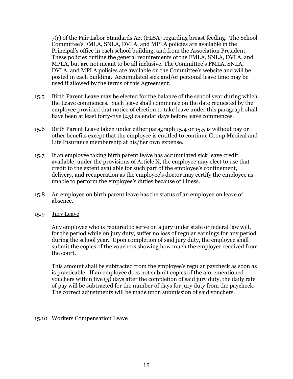7(r) of the Fair Labor Standards Act (FLSA) regarding breast feeding. The School Committee's FMLA, SNLA, DVLA, and MPLA policies are available in the Principal's office in each school building, and from the Association President. These policies outline the general requirements of the FMLA, SNLA, DVLA, and MPLA, but are not meant to be all inclusive. The Committee's FMLA, SNLA, DVLA, and MPLA policies are available on the Committee's website and will be posted in each building. Accumulated sick and/or personal leave time may be used if allowed by the terms of this Agreement.

- 15.5 Birth Parent Leave may be elected for the balance of the school year during which the Leave commences. Such leave shall commence on the date requested by the employee provided that notice of election to take leave under this paragraph shall have been at least forty-five (45) calendar days before leave commences.
- 15.6 Birth Parent Leave taken under either paragraph 15.4 or 15.5 is without pay or other benefits except that the employee is entitled to continue Group Medical and Life Insurance membership at his/her own expense.
- 15.7 If an employee taking birth parent leave has accumulated sick leave credit available, under the provisions of Article X, the employee may elect to use that credit to the extent available for such part of the employee's confinement, delivery, and recuperation as the employee's doctor may certify the employee as unable to perform the employee's duties because of illness.
- 15.8 An employee on birth parent leave has the status of an employee on leave of absence.
- 15.9 Jury Leave

Any employee who is required to serve on a jury under state or federal law will, for the period while on jury duty, suffer no loss of regular earnings for any period during the school year. Upon completion of said jury duty, the employee shall submit the copies of the vouchers showing how much the employee received from the court.

This amount shall be subtracted from the employee's regular paycheck as soon as is practicable. If an employee does not submit copies of the aforementioned vouchers within five (5) days after the completion of said jury duty, the daily rate of pay will be subtracted for the number of days for jury duty from the paycheck. The correct adjustments will be made upon submission of said vouchers.

# 15.10 Workers Compensation Leave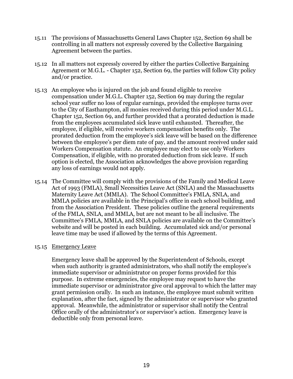- 15.11 The provisions of Massachusetts General Laws Chapter 152, Section 69 shall be controlling in all matters not expressly covered by the Collective Bargaining Agreement between the parties.
- 15.12 In all matters not expressly covered by either the parties Collective Bargaining Agreement or M.G.L. - Chapter 152, Section 69, the parties will follow City policy and/or practice.
- 15.13 An employee who is injured on the job and found eligible to receive compensation under M.G.L. Chapter 152, Section 69 may during the regular school year suffer no loss of regular earnings, provided the employee turns over to the City of Easthampton, all monies received during this period under M.G.L. Chapter 152, Section 69, and further provided that a prorated deduction is made from the employees accumulated sick leave until exhausted. Thereafter, the employee, if eligible, will receive workers compensation benefits only. The prorated deduction from the employee's sick leave will be based on the difference between the employee's per diem rate of pay, and the amount received under said Workers Compensation statute. An employee may elect to use only Workers Compensation, if eligible, with no prorated deduction from sick leave. If such option is elected, the Association acknowledges the above provision regarding any loss of earnings would not apply.
- 15.14 The Committee will comply with the provisions of the Family and Medical Leave Act of 1993 (FMLA), Small Necessities Leave Act (SNLA) and the Massachusetts Maternity Leave Act (MMLA). The School Committee's FMLA, SNLA, and MMLA policies are available in the Principal's office in each school building, and from the Association President. These policies outline the general requirements of the FMLA, SNLA, and MMLA, but are not meant to be all inclusive. The Committee's FMLA, MMLA, and SNLA policies are available on the Committee's website and will be posted in each building. Accumulated sick and/or personal leave time may be used if allowed by the terms of this Agreement.

#### 15.15 Emergency Leave

Emergency leave shall be approved by the Superintendent of Schools, except when such authority is granted administrators, who shall notify the employee's immediate supervisor or administrator on proper forms provided for this purpose. In extreme emergencies, the employee may request to have the immediate supervisor or administrator give oral approval to which the latter may grant permission orally. In such an instance, the employee must submit written explanation, after the fact, signed by the administrator or supervisor who granted approval. Meanwhile, the administrator or supervisor shall notify the Central Office orally of the administrator's or supervisor's action. Emergency leave is deductible only from personal leave.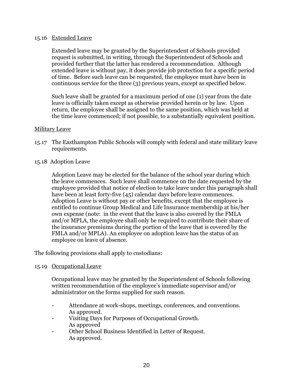#### 15.16 Extended Leave

Extended leave may be granted by the Superintendent of Schools provided request is submitted, in writing, through the Superintendent of Schools and provided further that the latter has rendered a recommendation. Although extended leave is without pay, it does provide job protection for a specific period of time. Before such leave can be requested, the employee must have been in continuous service for the three (3) previous years, except as specified below.

Such leave shall be granted for a maximum period of one (1) year from the date leave is officially taken except as otherwise provided herein or by law. Upon return, the employee shall be assigned to the same position, which was held at the time leave commenced; if not possible, to a substantially equivalent position.

# Military Leave

- 15.17 The Easthampton Public Schools will comply with federal and state military leave requirements.
- 15.18 Adoption Leave

Adoption Leave may be elected for the balance of the school year during which the leave commences. Such leave shall commence on the date requested by the employee provided that notice of election to take leave under this paragraph shall have been at least forty-five (45) calendar days before leave commences. Adoption Leave is without pay or other benefits, except that the employee is entitled to continue Group Medical and Life Insurance membership at his/her own expense (note: in the event that the leave is also covered by the FMLA and/or MPLA, the employee shall only be required to contribute their share of the insurance premiums during the portion of the leave that is covered by the FMLA and/or MPLA). An employee on adoption leave has the status of an employee on leave of absence.

The following provisions shall apply to custodians:

# 15.19 Occupational Leave

Occupational leave may be granted by the Superintendent of Schools following written recommendation of the employee's immediate supervisor and/or administrator on the forms supplied for such reason.

- Attendance at work-shops, meetings, conferences, and conventions. As approved.
- Visiting Days for Purposes of Occupational Growth. As approved
- Other School Business Identified in Letter of Request. As approved.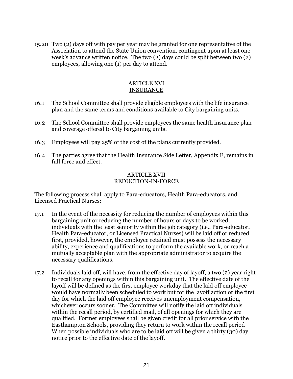15.20 Two (2) days off with pay per year may be granted for one representative of the Association to attend the State Union convention, contingent upon at least one week's advance written notice. The two (2) days could be split between two (2) employees, allowing one (1) per day to attend.

#### ARTICLE XVI INSURANCE

- 16.1 The School Committee shall provide eligible employees with the life insurance plan and the same terms and conditions available to City bargaining units.
- 16.2 The School Committee shall provide employees the same health insurance plan and coverage offered to City bargaining units.
- 16.3 Employees will pay 25% of the cost of the plans currently provided.
- 16.4 The parties agree that the Health Insurance Side Letter, Appendix E, remains in full force and effect.

#### ARTICLE XVII REDUCTION-IN-FORCE

The following process shall apply to Para-educators, Health Para-educators, and Licensed Practical Nurses:

- 17.1 In the event of the necessity for reducing the number of employees within this bargaining unit or reducing the number of hours or days to be worked, individuals with the least seniority within the job category (i.e., Para-educator, Health Para-educator, or Licensed Practical Nurses) will be laid off or reduced first, provided, however, the employee retained must possess the necessary ability, experience and qualifications to perform the available work, or reach a mutually acceptable plan with the appropriate administrator to acquire the necessary qualifications.
- 17.2 Individuals laid off, will have, from the effective day of layoff, a two (2) year right to recall for any openings within this bargaining unit. The effective date of the layoff will be defined as the first employee workday that the laid off employee would have normally been scheduled to work but for the layoff action or the first day for which the laid off employee receives unemployment compensation, whichever occurs sooner. The Committee will notify the laid off individuals within the recall period, by certified mail, of all openings for which they are qualified. Former employees shall be given credit for all prior service with the Easthampton Schools, providing they return to work within the recall period When possible individuals who are to be laid off will be given a thirty (30) day notice prior to the effective date of the layoff.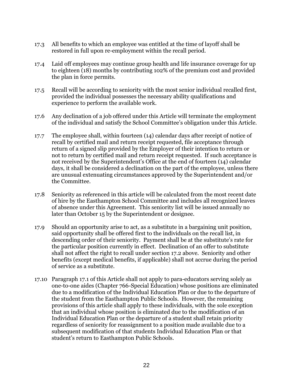- 17.3 All benefits to which an employee was entitled at the time of layoff shall be restored in full upon re-employment within the recall period.
- 17.4 Laid off employees may continue group health and life insurance coverage for up to eighteen (18) months by contributing 102% of the premium cost and provided the plan in force permits.
- 17.5 Recall will be according to seniority with the most senior individual recalled first, provided the individual possesses the necessary ability qualifications and experience to perform the available work.
- 17.6 Any declination of a job offered under this Article will terminate the employment of the individual and satisfy the School Committee's obligation under this Article.
- 17.7 The employee shall, within fourteen (14) calendar days after receipt of notice of recall by certified mail and return receipt requested, file acceptance through return of a signed slip provided by the Employer of their intention to return or not to return by certified mail and return receipt requested. If such acceptance is not received by the Superintendent's Office at the end of fourteen (14) calendar days, it shall be considered a declination on the part of the employee, unless there are unusual extenuating circumstances approved by the Superintendent and/or the Committee.
- 17.8 Seniority as referenced in this article will be calculated from the most recent date of hire by the Easthampton School Committee and includes all recognized leaves of absence under this Agreement. This seniority list will be issued annually no later than October 15 by the Superintendent or designee.
- 17.9 Should an opportunity arise to act, as a substitute in a bargaining unit position, said opportunity shall be offered first to the individuals on the recall list, in descending order of their seniority. Payment shall be at the substitute's rate for the particular position currently in effect. Declination of an offer to substitute shall not affect the right to recall under section 17.2 above. Seniority and other benefits (except medical benefits, if applicable) shall not accrue during the period of service as a substitute.
- 17.10 Paragraph 17.1 of this Article shall not apply to para-educators serving solely as one-to-one aides (Chapter 766-Special Education) whose positions are eliminated due to a modification of the Individual Education Plan or due to the departure of the student from the Easthampton Public Schools. However, the remaining provisions of this article shall apply to these individuals, with the sole exception that an individual whose position is eliminated due to the modification of an Individual Education Plan or the departure of a student shall retain priority regardless of seniority for reassignment to a position made available due to a subsequent modification of that students Individual Education Plan or that student's return to Easthampton Public Schools.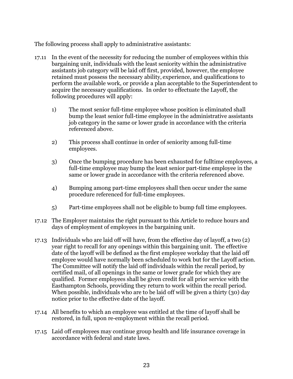The following process shall apply to administrative assistants:

- 17.11 In the event of the necessity for reducing the number of employees within this bargaining unit, individuals with the least seniority within the administrative assistants job category will be laid off first, provided, however, the employee retained must possess the necessary ability, experience, and qualifications to perform the available work, or provide a plan acceptable to the Superintendent to acquire the necessary qualifications. In order to effectuate the Layoff, the following procedures will apply:
	- 1) The most senior full-time employee whose position is eliminated shall bump the least senior full-time employee in the administrative assistants job category in the same or lower grade in accordance with the criteria referenced above.
	- 2) This process shall continue in order of seniority among full-time employees.
	- 3) Once the bumping procedure has been exhausted for fulltime employees, a full-time employee may bump the least senior part-time employee in the same or lower grade in accordance with the criteria referenced above.
	- 4) Bumping among part-time employees shall then occur under the same procedure referenced for full-time employees.
	- 5) Part-time employees shall not be eligible to bump full time employees.
- 17.12 The Employer maintains the right pursuant to this Article to reduce hours and days of employment of employees in the bargaining unit.
- 17.13 Individuals who are laid off will have, from the effective day of layoff, a two (2) year right to recall for any openings within this bargaining unit. The effective date of the layoff will be defined as the first employee workday that the laid off employee would have normally been scheduled to work but for the Layoff action. The Committee will notify the laid off individuals within the recall period, by certified mail, of all openings in the same or lower grade for which they are qualified. Former employees shall be given credit for all prior service with the Easthampton Schools, providing they return to work within the recall period. When possible, individuals who are to be laid off will be given a thirty (30) day notice prior to the effective date of the layoff.
- 17.14 All benefits to which an employee was entitled at the time of layoff shall be restored, in full, upon re-employment within the recall period.
- 17.15 Laid off employees may continue group health and life insurance coverage in accordance with federal and state laws.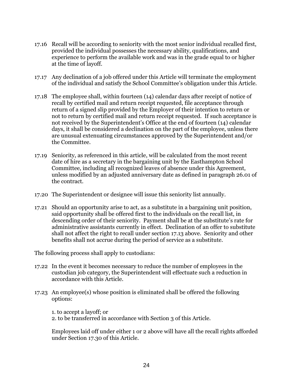- 17.16 Recall will be according to seniority with the most senior individual recalled first, provided the individual possesses the necessary ability, qualifications, and experience to perform the available work and was in the grade equal to or higher at the time of layoff.
- 17.17 Any declination of a job offered under this Article will terminate the employment of the individual and satisfy the School Committee's obligation under this Article.
- 17.18 The employee shall, within fourteen (14) calendar days after receipt of notice of recall by certified mail and return receipt requested, file acceptance through return of a signed slip provided by the Employer of their intention to return or not to return by certified mail and return receipt requested. If such acceptance is not received by the Superintendent's Office at the end of fourteen (14) calendar days, it shall be considered a declination on the part of the employee, unless there are unusual extenuating circumstances approved by the Superintendent and/or the Committee.
- 17.19 Seniority, as referenced in this article, will be calculated from the most recent date of hire as a secretary in the bargaining unit by the Easthampton School Committee, including all recognized leaves of absence under this Agreement, unless modified by an adjusted anniversary date as defined in paragraph 26.01 of the contract.
- 17.20 The Superintendent or designee will issue this seniority list annually.
- 17.21 Should an opportunity arise to act, as a substitute in a bargaining unit position, said opportunity shall be offered first to the individuals on the recall list, in descending order of their seniority. Payment shall be at the substitute's rate for administrative assistants currently in effect. Declination of an offer to substitute shall not affect the right to recall under section 17.13 above. Seniority and other benefits shall not accrue during the period of service as a substitute.

The following process shall apply to custodians:

- 17.22 In the event it becomes necessary to reduce the number of employees in the custodian job category, the Superintendent will effectuate such a reduction in accordance with this Article.
- 17.23 An employee(s) whose position is eliminated shall be offered the following options:

1. to accept a layoff; or

2. to be transferred in accordance with Section 3 of this Article.

Employees laid off under either 1 or 2 above will have all the recall rights afforded under Section 17.30 of this Article.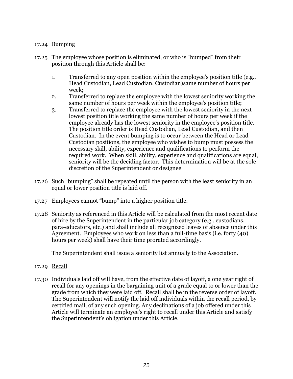# 17.24 Bumping

- 17.25 The employee whose position is eliminated, or who is "bumped" from their position through this Article shall be:
	- 1. Transferred to any open position within the employee's position title (e.g., Head Custodian, Lead Custodian, Custodian)same number of hours per week;
	- 2. Transferred to replace the employee with the lowest seniority working the same number of hours per week within the employee's position title;
	- 3. Transferred to replace the employee with the lowest seniority in the next lowest position title working the same number of hours per week if the employee already has the lowest seniority in the employee's position title. The position title order is Head Custodian, Lead Custodian, and then Custodian. In the event bumping is to occur between the Head or Lead Custodian positions, the employee who wishes to bump must possess the necessary skill, ability, experience and qualifications to perform the required work. When skill, ability, experience and qualifications are equal, seniority will be the deciding factor. This determination will be at the sole discretion of the Superintendent or designee
- 17.26 Such "bumping" shall be repeated until the person with the least seniority in an equal or lower position title is laid off.
- 17.27 Employees cannot "bump" into a higher position title.
- 17.28 Seniority as referenced in this Article will be calculated from the most recent date of hire by the Superintendent in the particular job category (e.g., custodians, para-educators, etc.) and shall include all recognized leaves of absence under this Agreement. Employees who work on less than a full-time basis (i.e. forty (40) hours per week) shall have their time prorated accordingly.

The Superintendent shall issue a seniority list annually to the Association.

- 17.29 Recall
- 17.30 Individuals laid off will have, from the effective date of layoff, a one year right of recall for any openings in the bargaining unit of a grade equal to or lower than the grade from which they were laid off. Recall shall be in the reverse order of layoff. The Superintendent will notify the laid off individuals within the recall period, by certified mail, of any such opening. Any declinations of a job offered under this Article will terminate an employee's right to recall under this Article and satisfy the Superintendent's obligation under this Article.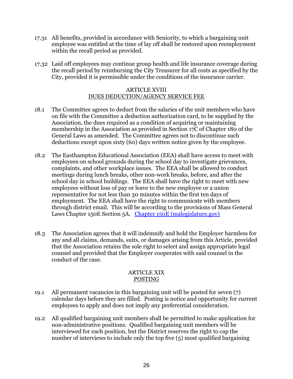- 17.31 All benefits, provided in accordance with Seniority, to which a bargaining unit employee was entitled at the time of lay off shall be restored upon reemployment within the recall period as provided.
- 17.32 Laid off employees may continue group health and life insurance coverage during the recall period by reimbursing the City Treasurer for all costs as specified by the City, provided it is permissible under the conditions of the insurance carrier.

#### ARTICLE XVIII DUES DEDUCTION/AGENCY SERVICE FEE

- 18.1 The Committee agrees to deduct from the salaries of the unit members who have on file with the Committee a deduction authorization card, to be supplied by the Association, the dues required as a condition of acquiring or maintaining membership in the Association as provided in Section 17C of Chapter 180 of the General Laws as amended. The Committee agrees not to discontinue such deductions except upon sixty (60) days written notice given by the employee.
- 18.2 The Easthampton Educational Association (EEA) shall have access to meet with employees on school grounds during the school day to investigate grievances, complaints, and other workplace issues. The EEA shall be allowed to conduct meetings during lunch breaks, other non-work breaks, before, and after the school day in school buildings. The EEA shall have the right to meet with new employees without loss of pay or leave to the new employee or a union representative for not less than 30 minutes within the first ten days of employment. The EEA shall have the right to communicate with members through district email. This will be according to the provisions of Mass General Laws Chapter 150E Section 5A. [Chapter 150E \(malegislature.gov\)](https://malegislature.gov/laws/generallaws/parti/titlexxi/chapter150e)
- 18.3 The Association agrees that it will indemnify and hold the Employer harmless for any and all claims, demands, suits, or damages arising from this Article, provided that the Association retains the sole right to select and assign appropriate legal counsel and provided that the Employer cooperates with said counsel in the conduct of the case.

# ARTICLE XIX POSTING

- 19.1 All permanent vacancies in this bargaining unit will be posted for seven (7) calendar days before they are filled. Posting is notice and opportunity for current employees to apply and does not imply any preferential consideration.
- 19.2 All qualified bargaining unit members shall be permitted to make application for non-administrative positions. Qualified bargaining unit members will be interviewed for each position, but the District reserves the right to cap the number of interviews to include only the top five (5) most qualified bargaining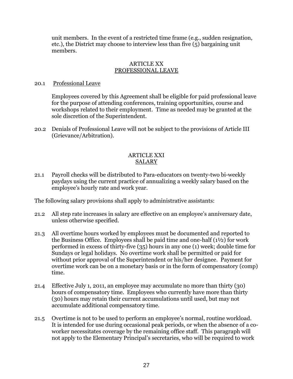unit members. In the event of a restricted time frame (e.g., sudden resignation, etc.), the District may choose to interview less than five (5) bargaining unit members.

#### ARTICLE XX PROFESSIONAL LEAVE

#### 20.1 Professional Leave

Employees covered by this Agreement shall be eligible for paid professional leave for the purpose of attending conferences, training opportunities, course and workshops related to their employment. Time as needed may be granted at the sole discretion of the Superintendent.

20.2 Denials of Professional Leave will not be subject to the provisions of Article III (Grievance/Arbitration).

# ARTICLE XXI SALARY

21.1 Payroll checks will be distributed to Para-educators on twenty-two bi-weekly paydays using the current practice of annualizing a weekly salary based on the employee's hourly rate and work year.

The following salary provisions shall apply to administrative assistants:

- 21.2 All step rate increases in salary are effective on an employee's anniversary date, unless otherwise specified.
- 21.3 All overtime hours worked by employees must be documented and reported to the Business Office. Employees shall be paid time and one-half  $(1<sup>1</sup>/<sub>2</sub>)$  for work performed in excess of thirty-five (35) hours in any one (1) week; double time for Sundays or legal holidays. No overtime work shall be permitted or paid for without prior approval of the Superintendent or his/her designee. Payment for overtime work can be on a monetary basis or in the form of compensatory (comp) time.
- 21.4 Effective July 1, 2011, an employee may accumulate no more than thirty (30) hours of compensatory time. Employees who currently have more than thirty (30) hours may retain their current accumulations until used, but may not accumulate additional compensatory time.
- 21.5 Overtime is not to be used to perform an employee's normal, routine workload. It is intended for use during occasional peak periods, or when the absence of a coworker necessitates coverage by the remaining office staff. This paragraph will not apply to the Elementary Principal's secretaries, who will be required to work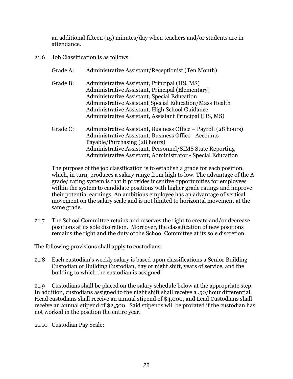an additional fifteen (15) minutes/day when teachers and/or students are in attendance.

- 21.6 Job Classification is as follows:
	- Grade A: Administrative Assistant/Receptionist (Ten Month)
	- Grade B: Administrative Assistant, Principal (HS, MS) Administrative Assistant, Principal (Elementary) Administrative Assistant, Special Education Administrative Assistant, Special Education/Mass Health Administrative Assistant, High School Guidance Administrative Assistant, Assistant Principal (HS, MS)
	- Grade C: Administrative Assistant, Business Office Payroll (28 hours) Administrative Assistant, Business Office - Accounts Payable/Purchasing (28 hours) Administrative Assistant, Personnel/SIMS State Reporting Administrative Assistant, Administrator - Special Education

The purpose of the job classification is to establish a grade for each position, which, in turn, produces a salary range from high to low. The advantage of the A grade/ rating system is that it provides incentive opportunities for employees within the system to candidate positions with higher grade ratings and improve their potential earnings. An ambitious employee has an advantage of vertical movement on the salary scale and is not limited to horizontal movement at the same grade.

21.7 The School Committee retains and reserves the right to create and/or decrease positions at its sole discretion. Moreover, the classification of new positions remains the right and the duty of the School Committee at its sole discretion.

The following provisions shall apply to custodians:

21.8 Each custodian's weekly salary is based upon classifications a Senior Building Custodian or Building Custodian, day or night shift, years of service, and the building to which the custodian is assigned.

21.9 Custodians shall be placed on the salary schedule below at the appropriate step. In addition, custodians assigned to the night shift shall receive a .50/hour differential. Head custodians shall receive an annual stipend of \$4,000, and Lead Custodians shall receive an annual stipend of \$2,500. Said stipends will be prorated if the custodian has not worked in the position the entire year.

21.10 Custodian Pay Scale: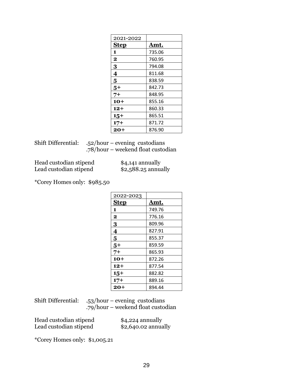| 2021-2022               |             |
|-------------------------|-------------|
| <b>Step</b>             | <u>Amt.</u> |
| 1                       | 735.06      |
| $\mathbf 2$             | 760.95      |
| 3                       | 794.08      |
| $\overline{\mathbf{4}}$ | 811.68      |
| 5                       | 838.59      |
| $5+$                    | 842.73      |
| 7+                      | 848.95      |
| 10+                     | 855.16      |
| 12+                     | 860.33      |
| $15+$                   | 865.51      |
| $17+$                   | 871.72      |
| 20+                     | 876.90      |

| Shift Differential: $.52/hour - evening$ custodians |
|-----------------------------------------------------|
| .78/hour – weekend float custodian                  |

Head custodian stipend \$4,141 annually Lead custodian stipend \$2,588.25 annually

\*Corey Homes only: \$985.50

| 2022-2023   |        |
|-------------|--------|
| <b>Step</b> | Amt.   |
| 1           | 749.76 |
| $\mathbf 2$ | 776.16 |
| 3           | 809.96 |
| 4           | 827.91 |
| 5           | 855.37 |
| $5+$        | 859.59 |
| 7+          | 865.93 |
| $10+$       | 872.26 |
| 12+         | 877.54 |
| $15+$       | 882.82 |
| $17+$       | 889.16 |
| 20+         | 894.44 |

| Shift Differential: | $-53/hour - evening$ custodians    |
|---------------------|------------------------------------|
|                     | .79/hour – weekend float custodian |

| Head custodian stipend | $$4,224$ annually    |
|------------------------|----------------------|
| Lead custodian stipend | $$2,640.02$ annually |

\*Corey Homes only: \$1,005.21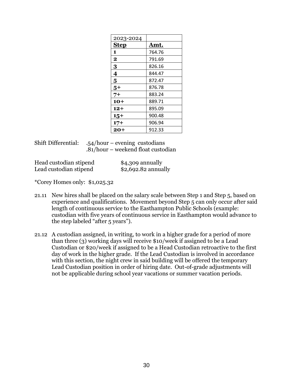| 2023-2024   |             |
|-------------|-------------|
| <b>Step</b> | <u>Amt.</u> |
| 1           | 764.76      |
| $\mathbf 2$ | 791.69      |
| 3           | 826.16      |
| 4           | 844.47      |
| 5           | 872.47      |
| $5+$        | 876.78      |
| 7+          | 883.24      |
| $10+$       | 889.71      |
| 12+         | 895.09      |
| $15+$       | 900.48      |
| $17+$       | 906.94      |
| 20+         | 912.33      |

| <b>Shift Differential:</b> | $-54/hour - evening$ custodians      |
|----------------------------|--------------------------------------|
|                            | $.81/hour$ – weekend float custodian |

| Head custodian stipend | $$4,309$ annually    |
|------------------------|----------------------|
| Lead custodian stipend | $$2,692.82$ annually |

\*Corey Homes only: \$1,025.32

- 21.11 New hires shall be placed on the salary scale between Step 1 and Step 5, based on experience and qualifications. Movement beyond Step 5 can only occur after said length of continuous service to the Easthampton Public Schools (example: custodian with five years of continuous service in Easthampton would advance to the step labeled "after 5 years").
- 21.12 A custodian assigned, in writing, to work in a higher grade for a period of more than three (3) working days will receive \$10/week if assigned to be a Lead Custodian or \$20/week if assigned to be a Head Custodian retroactive to the first day of work in the higher grade. If the Lead Custodian is involved in accordance with this section, the night crew in said building will be offered the temporary Lead Custodian position in order of hiring date. Out-of-grade adjustments will not be applicable during school year vacations or summer vacation periods.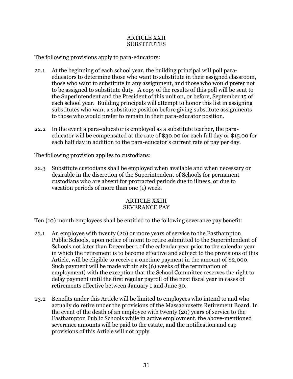#### ARTICLE XXII **SUBSTITUTES**

The following provisions apply to para-educators:

- 22.1 At the beginning of each school year, the building principal will poll paraeducators to determine those who want to substitute in their assigned classroom, those who want to substitute in any assignment, and those who would prefer not to be assigned to substitute duty. A copy of the results of this poll will be sent to the Superintendent and the President of this unit on, or before, September 15 of each school year. Building principals will attempt to honor this list in assigning substitutes who want a substitute position before giving substitute assignments to those who would prefer to remain in their para-educator position.
- 22.2 In the event a para-educator is employed as a substitute teacher, the paraeducator will be compensated at the rate of \$30.00 for each full day or \$15.00 for each half day in addition to the para-educator's current rate of pay per day.

The following provision applies to custodians:

22.3 Substitute custodians shall be employed when available and when necessary or desirable in the discretion of the Superintendent of Schools for permanent custodians who are absent for protracted periods due to illness, or due to vacation periods of more than one (1) week.

#### ARTICLE XXIII SEVERANCE PAY

Ten (10) month employees shall be entitled to the following severance pay benefit:

- 23.1 An employee with twenty (20) or more years of service to the Easthampton Public Schools, upon notice of intent to retire submitted to the Superintendent of Schools not later than December 1 of the calendar year prior to the calendar year in which the retirement is to become effective and subject to the provisions of this Article, will be eligible to receive a onetime payment in the amount of \$2,000. Such payment will be made within six (6) weeks of the termination of employment) with the exception that the School Committee reserves the right to delay payment until the first regular payroll of the next fiscal year in cases of retirements effective between January 1 and June 30.
- 23.2 Benefits under this Article will be limited to employees who intend to and who actually do retire under the provisions of the Massachusetts Retirement Board. In the event of the death of an employee with twenty (20) years of service to the Easthampton Public Schools while in active employment, the above-mentioned severance amounts will be paid to the estate, and the notification and cap provisions of this Article will not apply.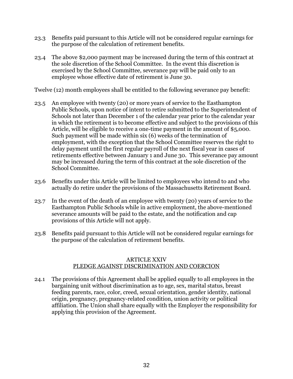- 23.3 Benefits paid pursuant to this Article will not be considered regular earnings for the purpose of the calculation of retirement benefits.
- 23.4 The above \$2,000 payment may be increased during the term of this contract at the sole discretion of the School Committee. In the event this discretion is exercised by the School Committee, severance pay will be paid only to an employee whose effective date of retirement is June 30.

Twelve (12) month employees shall be entitled to the following severance pay benefit:

- 23.5 An employee with twenty (20) or more years of service to the Easthampton Public Schools, upon notice of intent to retire submitted to the Superintendent of Schools not later than December 1 of the calendar year prior to the calendar year in which the retirement is to become effective and subject to the provisions of this Article, will be eligible to receive a one-time payment in the amount of \$5,000. Such payment will be made within six (6) weeks of the termination of employment, with the exception that the School Committee reserves the right to delay payment until the first regular payroll of the next fiscal year in cases of retirements effective between January 1 and June 30. This severance pay amount may be increased during the term of this contract at the sole discretion of the School Committee.
- 23.6 Benefits under this Article will be limited to employees who intend to and who actually do retire under the provisions of the Massachusetts Retirement Board.
- 23.7 In the event of the death of an employee with twenty (20) years of service to the Easthampton Public Schools while in active employment, the above-mentioned severance amounts will be paid to the estate, and the notification and cap provisions of this Article will not apply.
- 23.8 Benefits paid pursuant to this Article will not be considered regular earnings for the purpose of the calculation of retirement benefits.

#### ARTICLE XXIV PLEDGE AGAINST DISCRIMINATION AND COERCION

24.1 The provisions of this Agreement shall be applied equally to all employees in the bargaining unit without discrimination as to age, sex, marital status, breast feeding parents, race, color, creed, sexual orientation, gender identity, national origin, pregnancy, pregnancy-related condition, union activity or political affiliation. The Union shall share equally with the Employer the responsibility for applying this provision of the Agreement.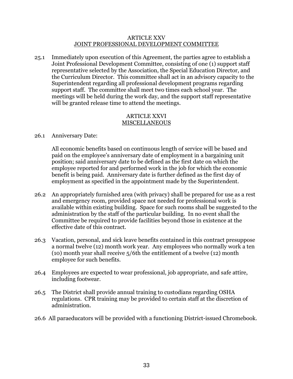#### ARTICLE XXV JOINT PROFESSIONAL DEVELOPMENT COMMITTEE

25.1 Immediately upon execution of this Agreement, the parties agree to establish a Joint Professional Development Committee, consisting of one (1) support staff representative selected by the Association, the Special Education Director, and the Curriculum Director. This committee shall act in an advisory capacity to the Superintendent regarding all professional development programs regarding support staff. The committee shall meet two times each school year. The meetings will be held during the work day, and the support staff representative will be granted release time to attend the meetings.

#### ARTICLE XXVI MISCELLANEOUS

#### 26.1 Anniversary Date:

All economic benefits based on continuous length of service will be based and paid on the employee's anniversary date of employment in a bargaining unit position; said anniversary date to be defined as the first date on which the employee reported for and performed work in the job for which the economic benefit is being paid. Anniversary date is further defined as the first day of employment as specified in the appointment made by the Superintendent.

- 26.2 An appropriately furnished area (with privacy) shall be prepared for use as a rest and emergency room, provided space not needed for professional work is available within existing building. Space for such rooms shall be suggested to the administration by the staff of the particular building. In no event shall the Committee be required to provide facilities beyond those in existence at the effective date of this contract.
- 26.3 Vacation, personal, and sick leave benefits contained in this contract presuppose a normal twelve (12) month work year. Any employees who normally work a ten (10) month year shall receive 5/6th the entitlement of a twelve (12) month employee for such benefits.
- 26.4 Employees are expected to wear professional, job appropriate, and safe attire, including footwear.
- 26.5 The District shall provide annual training to custodians regarding OSHA regulations. CPR training may be provided to certain staff at the discretion of administration.
- 26.6 All paraeducators will be provided with a functioning District-issued Chromebook.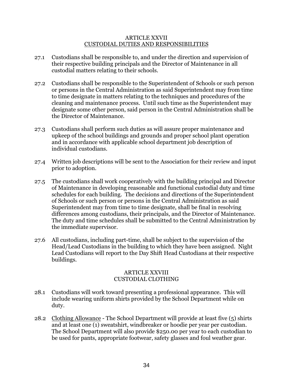#### ARTICLE XXVII CUSTODIAL DUTIES AND RESPONSIBILITIES

- 27.1 Custodians shall be responsible to, and under the direction and supervision of their respective building principals and the Director of Maintenance in all custodial matters relating to their schools.
- 27.2 Custodians shall be responsible to the Superintendent of Schools or such person or persons in the Central Administration as said Superintendent may from time to time designate in matters relating to the techniques and procedures of the cleaning and maintenance process. Until such time as the Superintendent may designate some other person, said person in the Central Administration shall be the Director of Maintenance.
- 27.3 Custodians shall perform such duties as will assure proper maintenance and upkeep of the school buildings and grounds and proper school plant operation and in accordance with applicable school department job description of individual custodians.
- 27.4 Written job descriptions will be sent to the Association for their review and input prior to adoption.
- 27.5 The custodians shall work cooperatively with the building principal and Director of Maintenance in developing reasonable and functional custodial duty and time schedules for each building. The decisions and directions of the Superintendent of Schools or such person or persons in the Central Administration as said Superintendent may from time to time designate, shall be final in resolving differences among custodians, their principals, and the Director of Maintenance. The duty and time schedules shall be submitted to the Central Administration by the immediate supervisor.
- 27.6 All custodians, including part-time, shall be subject to the supervision of the Head/Lead Custodians in the building to which they have been assigned. Night Lead Custodians will report to the Day Shift Head Custodians at their respective buildings.

# ARTICLE XXVIII CUSTODIAL CLOTHING

- 28.1 Custodians will work toward presenting a professional appearance. This will include wearing uniform shirts provided by the School Department while on duty.
- 28.2 Clothing Allowance The School Department will provide at least five (5) shirts and at least one (1) sweatshirt, windbreaker or hoodie per year per custodian. The School Department will also provide \$250.00 per year to each custodian to be used for pants, appropriate footwear, safety glasses and foul weather gear.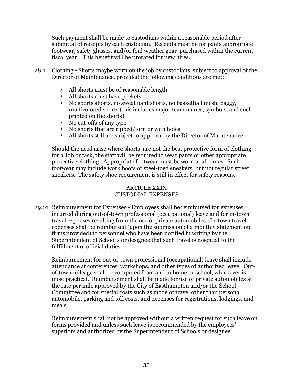Such payment shall be made to custodians within a reasonable period after submittal of receipts by each custodian. Receipts must be for pants appropriate footwear, safety glasses, and/or foul weather gear purchased within the current fiscal year. This benefit will be prorated for new hires.

- 28.3 Clothing Shorts maybe worn on the job by custodians, subject to approval of the Director of Maintenance, provided the following conditions are met:
	- All shorts must be of reasonable length
	- All shorts must have pockets
	- No sports shorts, no sweat pant shorts, no basketball mesh, baggy, multicolored shorts (this includes major team names, symbols, and such printed on the shorts)
	- No cut-offs of any type
	- No shorts that are ripped/torn or with holes
	- All shorts still are subject to approval by the Director of Maintenance

Should the need arise where shorts are not the best protective form of clothing for a Job or task, the staff will be required to wear pants or other appropriate protective clothing. Appropriate footwear must be worn at all times. Such footwear may include work boots or steel-toed sneakers, but not regular street sneakers. The safety shoe requirement is still in effect for safety reasons.

# ARTICLE XXIX CUSTODIAL EXPENSES

29.01 Reimbursement for Expenses - Employees shall be reimbursed for expenses incurred during out-of-town professional (occupational) leave and for in-town travel expenses resulting from the use of private automobiles. In-town travel expenses shall be reimbursed (upon the submission of a monthly statement on firms provided) to personnel who have been notified in writing by the Superintendent of School's or designee that such travel is essential to the fulfillment of official duties.

Reimbursement for out-of-town professional (occupational) leave shall include attendance at conferences, workshops, and other types of authorized leave. Outof-town mileage shall be computed from and to home or school, whichever is most practical. Reimbursement shall be made for use of private automobiles at the rate per mile approved by the City of Easthampton and/or the School Committee and for special costs such as mode of travel other than personal automobile, parking and toll costs, and expenses for registrations, lodgings, and meals.

Reimbursement shall not be approved without a written request for such leave on forms provided and unless such leave is recommended by the employees' superiors and authorized by the Superintendent of Schools or designee.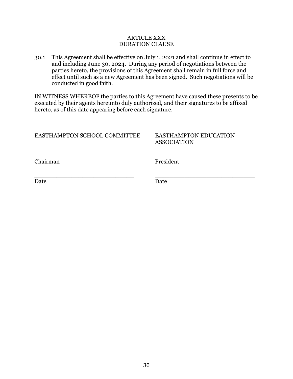#### ARTICLE XXX DURATION CLAUSE

30.1 This Agreement shall be effective on July 1, 2021 and shall continue in effect to and including June 30, 2024. During any period of negotiations between the parties hereto, the provisions of this Agreement shall remain in full force and effect until such as a new Agreement has been signed. Such negotiations will be conducted in good faith.

IN WITNESS WHEREOF the parties to this Agreement have caused these presents to be executed by their agents hereunto duly authorized, and their signatures to be affixed hereto, as of this date appearing before each signature.

\_\_\_\_\_\_\_\_\_\_\_\_\_\_\_\_\_\_\_\_\_\_\_\_\_\_\_ \_\_\_\_\_\_\_\_\_\_\_\_\_\_\_\_\_\_\_\_\_\_\_\_\_\_\_

# EASTHAMPTON SCHOOL COMMITTEE EASTHAMPTON EDUCATION

# ASSOCIATION

Chairman President

\_\_\_\_\_\_\_\_\_\_\_\_\_\_\_\_\_\_\_\_\_\_\_\_\_\_ \_\_\_\_\_\_\_\_\_\_\_\_\_\_\_\_\_\_\_\_\_\_\_\_\_\_\_

Date **Date** Date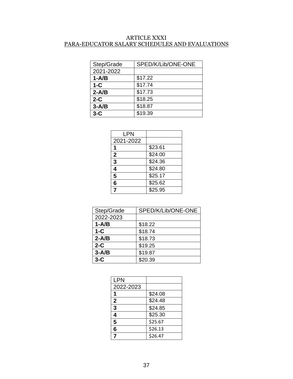# ARTICLE XXXI PARA-EDUCATOR SALARY SCHEDULES AND EVALUATIONS

| Step/Grade | SPED/K/Lib/ONE-ONE |
|------------|--------------------|
| 2021-2022  |                    |
| $1-A/B$    | \$17.22            |
| $1-C$      | \$17.74            |
| $2 - A/B$  | \$17.73            |
| $2-C$      | \$18.25            |
| $3 - A/B$  | \$18.87            |
| $3-C$      | \$19.39            |

| LPN              |         |
|------------------|---------|
| 2021-2022        |         |
|                  | \$23.61 |
| $\boldsymbol{2}$ | \$24.00 |
| 3                | \$24.36 |
| 4                | \$24.80 |
| 5                | \$25.17 |
| 6                | \$25.62 |
|                  | \$25.95 |

| Step/Grade | SPED/K/Lib/ONE-ONE |
|------------|--------------------|
| 2022-2023  |                    |
| $1-A/B$    | \$18.22            |
| $1-C$      | \$18.74            |
| $2-A/B$    | \$18.73            |
| $2-C$      | \$19.25            |
| $3 - A/B$  | \$19.87            |
| $3-C$      | \$20.39            |

| LPN          |         |
|--------------|---------|
| 2022-2023    |         |
|              | \$24.08 |
| $\mathbf{2}$ | \$24.48 |
| 3            | \$24.85 |
| 4            | \$25.30 |
| 5            | \$25.67 |
| 6            | \$26.13 |
|              | \$26.47 |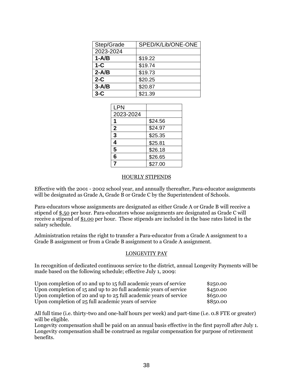| Step/Grade | SPED/K/Lib/ONE-ONE |
|------------|--------------------|
| 2023-2024  |                    |
| $1-A/B$    | \$19.22            |
| $1-C$      | \$19.74            |
| $2 - A/B$  | \$19.73            |
| $2-C$      | \$20.25            |
| $3 - A/B$  | \$20.87            |
| $3-C$      | \$21.39            |

| <b>LPN</b>     |         |
|----------------|---------|
| 2023-2024      |         |
|                | \$24.56 |
| $\overline{2}$ | \$24.97 |
| 3              | \$25.35 |
| 4              | \$25.81 |
| 5              | \$26.18 |
| 6              | \$26.65 |
| 7              | \$27.00 |

#### HOURLY STIPENDS

Effective with the 2001 - 2002 school year, and annually thereafter, Para-educator assignments will be designated as Grade A, Grade B or Grade C by the Superintendent of Schools.

Para-educators whose assignments are designated as either Grade A or Grade B will receive a stipend of \$.50 per hour. Para-educators whose assignments are designated as Grade C will receive a stipend of \$1.00 per hour. These stipends are included in the base rates listed in the salary schedule.

Administration retains the right to transfer a Para-educator from a Grade A assignment to a Grade B assignment or from a Grade B assignment to a Grade A assignment.

#### LONGEVITY PAY

In recognition of dedicated continuous service to the district, annual Longevity Payments will be made based on the following schedule; effective July 1, 2009:

| Upon completion of 10 and up to 15 full academic years of service | \$250.00  |
|-------------------------------------------------------------------|-----------|
| Upon completion of 15 and up to 20 full academic years of service | \$450.00  |
| Upon completion of 20 and up to 25 full academic years of service | \$6,50.00 |
| Upon completion of 25 full academic years of service              | \$8,50.00 |

All full time (i.e. thirty-two and one-half hours per week) and part-time (i.e. 0.8 FTE or greater) will be eligible.

Longevity compensation shall be paid on an annual basis effective in the first payroll after July 1. Longevity compensation shall be construed as regular compensation for purpose of retirement benefits.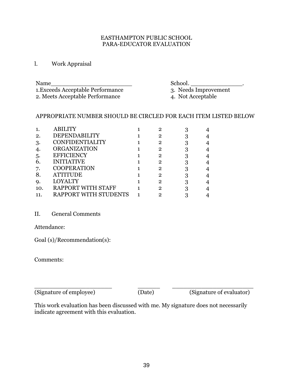## EASTHAMPTON PUBLIC SCHOOL PARA-EDUCATOR EVALUATION

l. Work Appraisal

| 1. Exceeds Acceptable Performance |
|-----------------------------------|
| 2. Meets Acceptable Performance   |

Name\_\_\_\_\_\_\_\_\_\_\_\_\_\_\_\_\_\_\_\_\_\_ School. \_\_\_\_\_\_\_\_\_\_\_\_\_\_.

3. Needs Improvement<br>4. Not Acceptable

# APPROPRIATE NUMBER SHOULD BE CIRCLED FOR EACH ITEM LISTED BELOW

|     | <b>ABILITY</b>        | 2 |  |
|-----|-----------------------|---|--|
| 2.  | DEPENDABILITY         | 2 |  |
| 3.  | CONFIDENTIALITY       | 2 |  |
|     | <b>ORGANIZATION</b>   | 2 |  |
| 5.  | <b>EFFICIENCY</b>     | 2 |  |
| 6.  | <b>INITIATIVE</b>     | 2 |  |
| 7.  | <b>COOPERATION</b>    | 2 |  |
| 8.  | <b>ATTITUDE</b>       | 2 |  |
| Q.  | <b>LOYALTY</b>        | 2 |  |
| 10. | RAPPORT WITH STAFF    | 2 |  |
|     | RAPPORT WITH STUDENTS |   |  |

# II. General Comments

Attendance:

Goal (s)/Recommendation(s):

Comments:

(Signature of employee) (Date) (Signature of evaluator)

\_\_\_\_\_\_\_\_\_\_\_\_\_\_\_\_\_\_\_\_\_ \_\_\_\_\_\_ \_\_\_\_\_\_\_\_\_\_\_\_\_\_\_\_\_\_\_\_\_\_

This work evaluation has been discussed with me. My signature does not necessarily indicate agreement with this evaluation.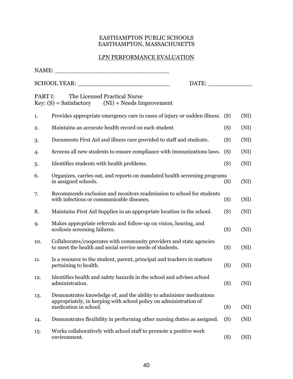# EASTHAMPTON PUBLIC SCHOOLS EASTHAMPTON, MASSACHUSETTS

# LPN PERFORMANCE EVALUATION

| NAME:   |                                                                                                                                                                    |     |      |
|---------|--------------------------------------------------------------------------------------------------------------------------------------------------------------------|-----|------|
|         | DATE:                                                                                                                                                              |     |      |
| PART I: | The Licensed Practical Nurse<br>$Key: (S) = Satisfactory$ (NI) = Needs Improvement                                                                                 |     |      |
| 1.      | Provides appropriate emergency care in cases of injury or sudden illness. (S)                                                                                      |     | (NI) |
| 2.      | Maintains an accurate health record on each student                                                                                                                | (S) | (NI) |
| 3.      | Documents First Aid and illness care provided to staff and students.                                                                                               | (S) | (NI) |
| 4.      | Screens all new students to ensure compliance with immunizations laws.                                                                                             | (S) | (NI) |
| 5.      | Identifies students with health problems.                                                                                                                          | (S) | (NI) |
| 6.      | Organizes, carries out, and reports on mandated health screening programs<br>in assigned schools.                                                                  | (S) | (NI) |
| 7.      | Recommends exclusion and monitors readmission to school for students<br>with infectious or communicable diseases.                                                  | (S) | (NI) |
| 8.      | Maintains First Aid Supplies in an appropriate location in the school.                                                                                             | (S) | (NI) |
| 9.      | Makes appropriate referrals and follow-up on vision, hearing, and<br>scoliosis screening failures.                                                                 | (S) | (NI) |
| 10.     | Collaborates/cooperates with community providers and state agencies<br>to meet the health and social service needs of students.                                    | (S) | (NI) |
| 11.     | Is a resource to the student, parent, principal and teachers in matters<br>pertaining to health.                                                                   | (S) | (NI) |
| 12.     | Identifies health and safety hazards in the school and advises school<br>administration.                                                                           | (S) | (NI) |
| 13.     | Demonstrates knowledge of, and the ability to administer medications<br>appropriately, in keeping with school policy on administration of<br>medication in school. | (S) | (NI) |
| 14.     | Demonstrates flexibility in performing other nursing duties as assigned.                                                                                           | (S) | (NI) |
| 15.     | Works collaboratively with school staff to promote a positive work<br>environment.                                                                                 | (S) | (NI) |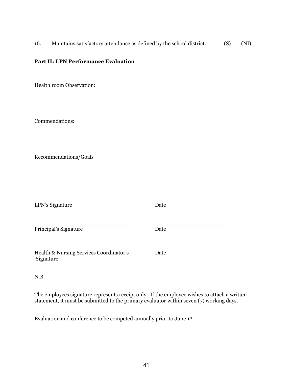16. Maintains satisfactory attendance as defined by the school district. (S) (NI)

# **Part II: LPN Performance Evaluation**

Health room Observation:

Commendations:

Recommendations/Goals

| LPN's Signature                                      | Date |  |
|------------------------------------------------------|------|--|
| Principal's Signature                                | Date |  |
| Health & Nursing Services Coordinator's<br>Signature | Date |  |

N.B.

The employees signature represents receipt only. If the employee wishes to attach a written statement, it must be submitted to the primary evaluator within seven (7) working days.

Evaluation and conference to be competed annually prior to June 1st.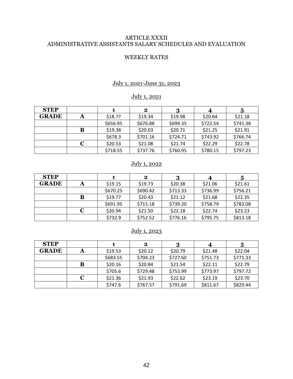# ARTICLE XXXII ADMINISTRATIVE ASSISTANTS SALARY SCHEDULES AND EVALUATION

#### WEEKLY RATES

# July 1, 2021-June 31, 2023

# July 1, 2021

| <b>STEP</b>  |   |          | 2        |          |          |          |
|--------------|---|----------|----------|----------|----------|----------|
| <b>GRADE</b> |   | \$18.77  | \$19.34  | \$19.98  | \$20.64  | \$21.18  |
|              |   | \$656.95 | \$676.88 | \$699.35 | \$722.54 | \$741.38 |
|              | В | \$19.38  | \$20.03  | \$20.71  | \$21.25  | \$21.91  |
|              |   | \$678.3  | \$701.16 | \$724.71 | \$743.92 | \$766.74 |
|              | С | \$20.53  | \$21.08  | \$21.74  | \$22.29  | \$22.78  |
|              |   | \$718.55 | \$737.76 | \$760.95 | \$780.15 | \$797.23 |

# July 1, 2022

| <b>STEP</b>  |   |          | $\bf{2}$ | 3        |          | 5        |
|--------------|---|----------|----------|----------|----------|----------|
| <b>GRADE</b> |   | \$19.15  | \$19.73  | \$20.38  | \$21.06  | \$21.61  |
|              |   | \$670.25 | \$690.42 | \$713.33 | \$736.99 | \$756.21 |
|              | в | \$19.77  | \$20.43  | \$21.12  | \$21.68  | \$22.35  |
|              |   | \$691.95 | \$715.18 | \$739.20 | \$758.79 | \$782.08 |
|              |   | \$20.94  | \$21.50  | \$22.18  | \$22.74  | \$23.23  |
|              |   | \$732.9  | \$752.52 | \$776.16 | \$795.75 | \$813.18 |

# July 1, 2023

| <b>STEP</b>  |   |          | 2        |          |          | 5        |
|--------------|---|----------|----------|----------|----------|----------|
| <b>GRADE</b> |   | \$19.53  | \$20.12  | \$20.79  | \$21.48  | \$22.04  |
|              |   | \$683.55 | \$704.23 | \$727.60 | \$751.73 | \$771.33 |
|              | B | \$20.16  | \$20.84  | \$21.54  | \$22.11  | \$22.79  |
|              |   | \$705.6  | \$729.48 | \$753.99 | \$773.97 | \$797.72 |
|              | C | \$21.36  | \$21.93  | \$22.62  | \$23.19  | \$23.70  |
|              |   | \$747.6  | \$767.57 | \$791.69 | \$811.67 | \$829.44 |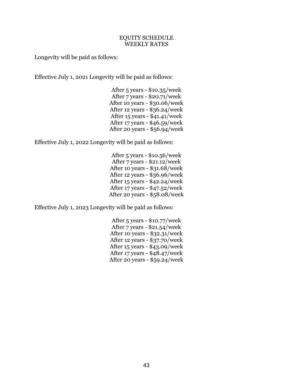## EQUITY SCHEDULE WEEKLY RATES

Longevity will be paid as follows:

Effective July 1, 2021 Longevity will be paid as follows:

| After 5 years - \$10.35/week    |
|---------------------------------|
| After 7 years - \$20.71/week    |
| After 10 years - \$30.06/week   |
| After 12 years - $$36.24$ /week |
| After $15$ years - \$41.41/week |
| After 17 years - \$46.59/week   |
| After 20 years - \$56.94/week   |

Effective July 1, 2022 Longevity will be paid as follows:

| After $5$ years - \$10.56/week   |
|----------------------------------|
| After 7 years - \$21.12/week     |
| After 10 years - \$31.68/week    |
| After 12 years - \$36.96/week    |
| After 15 years - \$42.24/week    |
| After $17$ years - $47.52$ /week |
| After 20 years - \$58.08/week    |

Effective July 1, 2023 Longevity will be paid as follows:

| After $5$ years - \$10.77/week    |
|-----------------------------------|
| After 7 years - \$21.54/week      |
| After 10 years - \$32.31/week     |
| After 12 years - \$37.70/week     |
| After $15$ years - \$43.09/week   |
| After $17$ years - $$48.47$ /week |
| After 20 years - \$59.24/week     |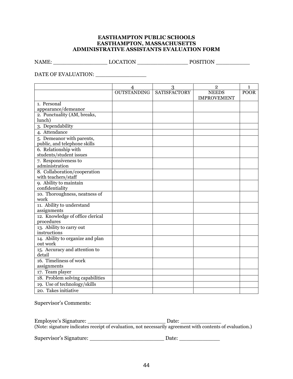#### **EASTHAMPTON PUBLIC SCHOOLS EASTHAMPTON, MASSACHUSETTS ADMINISTRATIVE ASSISTANTS EVALUATION FORM**

NAME: \_\_\_\_\_\_\_\_\_\_\_\_\_\_\_\_ LOCATION \_\_\_\_\_\_\_\_\_\_\_\_\_\_\_ POSITION \_\_\_\_\_\_\_\_\_\_

DATE OF EVALUATION: \_\_\_\_\_\_\_\_\_\_\_\_\_\_\_

| 3<br>$\overline{2}$<br>$\overline{4}$<br>1<br><b>SATISFACTORY</b><br><b>OUTSTANDING</b><br><b>NEEDS</b><br><b>POOR</b><br><b>IMPROVEMENT</b><br>1. Personal<br>appearance/demeanor |
|------------------------------------------------------------------------------------------------------------------------------------------------------------------------------------|
|                                                                                                                                                                                    |
|                                                                                                                                                                                    |
|                                                                                                                                                                                    |
|                                                                                                                                                                                    |
|                                                                                                                                                                                    |
| 2. Punctuality (AM, breaks,                                                                                                                                                        |
| lunch)                                                                                                                                                                             |
| 3. Dependability                                                                                                                                                                   |
| 4. Attendance                                                                                                                                                                      |
| 5. Demeanor with parents,                                                                                                                                                          |
| public, and telephone skills                                                                                                                                                       |
| 6. Relationship with                                                                                                                                                               |
| students/student issues                                                                                                                                                            |
| 7. Responsiveness to                                                                                                                                                               |
| administration                                                                                                                                                                     |
| 8. Collaboration/cooperation                                                                                                                                                       |
| with teachers/staff                                                                                                                                                                |
| 9. Ability to maintain                                                                                                                                                             |
| confidentiality                                                                                                                                                                    |
| 10. Thoroughness, neatness of                                                                                                                                                      |
| work                                                                                                                                                                               |
| 11. Ability to understand                                                                                                                                                          |
| assignments                                                                                                                                                                        |
| 12. Knowledge of office clerical                                                                                                                                                   |
| procedures                                                                                                                                                                         |
| 13. Ability to carry out                                                                                                                                                           |
| instructions                                                                                                                                                                       |
| 14. Ability to organize and plan                                                                                                                                                   |
| out work                                                                                                                                                                           |
| 15. Accuracy and attention to                                                                                                                                                      |
| detail                                                                                                                                                                             |
| 16. Timeliness of work                                                                                                                                                             |
| assignments                                                                                                                                                                        |
| 17. Team player                                                                                                                                                                    |
| 18. Problem solving capabilities                                                                                                                                                   |
| 19. Use of technology/skills                                                                                                                                                       |
| 20. Takes initiative                                                                                                                                                               |

Supervisor's Comments:

| Employee's Signature:                                                                                     | Date: |  |
|-----------------------------------------------------------------------------------------------------------|-------|--|
| (Note: signature indicates receipt of evaluation, not necessarily agreement with contents of evaluation.) |       |  |

Supervisor's Signature: \_\_\_\_\_\_\_\_\_\_\_\_\_\_\_\_\_\_\_\_\_\_ Date: \_\_\_\_\_\_\_\_\_\_\_\_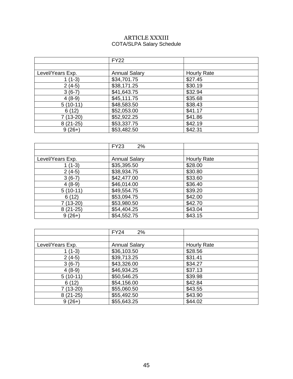# ARTICLE XXXIII COTA/SLPA Salary Schedule

|                  | <b>FY22</b>          |                    |
|------------------|----------------------|--------------------|
|                  |                      |                    |
| Level/Years Exp. | <b>Annual Salary</b> | <b>Hourly Rate</b> |
| $1(1-3)$         | \$34,701.75          | \$27.45            |
| $2(4-5)$         | \$38,171.25          | \$30.19            |
| $3(6-7)$         | \$41,643.75          | \$32.94            |
| $4(8-9)$         | \$45,111.75          | \$35.68            |
| $5(10-11)$       | \$48,583.50          | \$38.43            |
| 6(12)            | \$52,053.00          | \$41.17            |
| 7 (13-20)        | \$52,922.25          | \$41.86            |
| $8(21-25)$       | \$53,337.75          | \$42.19            |
| $9(26+)$         | \$53,482.50          | \$42.31            |

|                  | <b>FY23</b><br>2%    |                    |
|------------------|----------------------|--------------------|
|                  |                      |                    |
| Level/Years Exp. | <b>Annual Salary</b> | <b>Hourly Rate</b> |
| $1(1-3)$         | \$35,395.50          | \$28.00            |
| $2(4-5)$         | \$38,934.75          | \$30.80            |
| $3(6-7)$         | \$42,477.00          | \$33.60            |
| $4(8-9)$         | \$46,014.00          | \$36.40            |
| $5(10-11)$       | \$49,554.75          | \$39.20            |
| 6(12)            | \$53,094.75          | \$42.00            |
| 7 (13-20)        | \$53,980.50          | \$42.70            |
| $8(21-25)$       | \$54,404.25          | \$43.04            |
| $9(26+)$         | \$54,552.75          | \$43.15            |

|                  | <b>FY24</b><br>2%    |                    |
|------------------|----------------------|--------------------|
|                  |                      |                    |
| Level/Years Exp. | <b>Annual Salary</b> | <b>Hourly Rate</b> |
| 1 (1-3)          | \$36,103.50          | \$28.56            |
| $2(4-5)$         | \$39,713.25          | \$31.41            |
| $3(6-7)$         | \$43,326.00          | \$34.27            |
| $4(8-9)$         | \$46,934.25          | \$37.13            |
| $5(10-11)$       | \$50,546.25          | \$39.98            |
| 6(12)            | \$54,156.00          | \$42.84            |
| $7(13-20)$       | \$55,060.50          | \$43.55            |
| $8(21-25)$       | \$55,492.50          | \$43.90            |
| $9(26+)$         | \$55,643.25          | \$44.02            |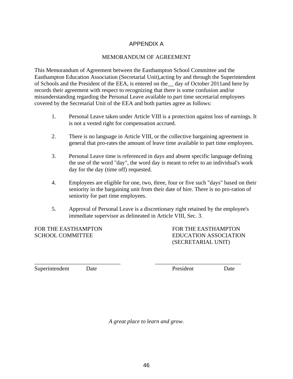# APPENDIX A

#### MEMORANDUM OF AGREEMENT

This Memorandum of Agreement between the Easthampton School Committee and the Easthampton Education Association (Secretarial Unit),acting by and through the Superintendent of Schools and the President of the EEA, is entered on the\_\_ day of October 2011and here by records their agreement with respect to recognizing that there is some confusion and/or misunderstanding regarding the Personal Leave available to part time secretarial employees covered by the Secretarial Unit of the EEA and both parties agree as follows:

- 1. Personal Leave taken under Article VIII is a protection against loss of earnings. It is not a vested right for compensation accrued.
- 2. There is no language in Article VIII, or the collective bargaining agreement in general that pro-rates the amount of leave time available to part time employees.
- 3. Personal Leave time is referenced in days and absent specific language defining the use of the word "day", the word day is meant to refer to an individual's work day for the day (time off) requested.
- 4. Employees are eligible for one, two, three, four or five such "days" based on their seniority in the bargaining unit from their date of hire. There is no pro-ration of seniority for part time employees.
- 5. Approval of Personal Leave is a discretionary right retained by the employee's immediate supervisor as delineated in Article VIII, Sec. 3.

FOR THE EASTHAMPTON FOR THE EASTHAMPTON

SCHOOL COMMITTEE EXAMPLE EDUCATION ASSOCIATION (SECRETARIAL UNIT)

Superintendent Date **Date** President Date

*A great place to learn and grow.*

\_\_\_\_\_\_\_\_\_\_\_\_\_\_\_\_\_\_\_\_\_\_\_\_\_\_\_\_\_\_ \_\_\_\_\_\_\_\_\_\_\_\_\_\_\_\_\_\_\_\_\_\_\_\_\_\_\_\_\_\_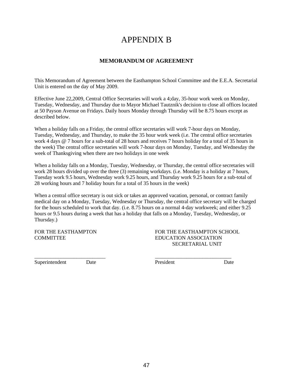# APPENDIX B

# **MEMORANDUM OF AGREEMENT**

This Memorandum of Agreement between the Easthampton School Committee and the E.E.A. Secretarial Unit is entered on the day of May 2009.

Effective June 22,2009, Central Office Secretaries will work a 4;day, 35-hour work week on Monday, Tuesday, Wednesday, and Thursday due to Mayor Michael Tautznik's decision to close all offices located at 50 Payson Avenue on Fridays. Daily hours Monday through Thursday will be 8.75 hours except as described below.

When a holiday falls on a Friday, the central office secretaries will work 7-hour days on Monday, Tuesday, Wednesday, and Thursday, to make the 35 hour work week (i.e. The central office secretaries work 4 days @ 7 hours for a sub-total of 28 hours and receives 7 hours holiday for a total of 35 hours in the week) The central office secretaries will work 7-hour days on Monday, Tuesday, and Wednesday the week of Thanksgiving when there are two holidays in one week

When a holiday falls on a Monday, Tuesday, Wednesday, or Thursday, the central office secretaries will work 28 hours divided up over the three (3) remaining workdays. (i.e. Monday is a holiday at 7 hours, Tuesday work 9.5 hours, Wednesday work 9.25 hours, and Thursday work 9.25 hours for a sub-total of 28 working hours and 7 holiday hours for a total of 35 hours in the week)

When a central office secretary is out sick or takes an approved vacation, personal, or contract family medical day on a Monday, Tuesday, Wednesday or Thursday, the central office secretary will be charged for the hours scheduled to work that day. (i.e. 8.75 hours on a normal 4-day workweek; and either 9.25 hours or 9.5 hours during a week that has a holiday that falls on a Monday, Tuesday, Wednesday, or Thursday.)

\_\_\_\_\_\_\_\_\_\_\_\_\_\_\_\_\_\_\_\_\_\_\_\_\_\_\_ \_\_\_\_\_\_\_\_\_\_\_\_\_\_\_\_\_\_\_\_\_\_\_\_\_\_\_\_\_

FOR THE EASTHAMPTON FOR THE EASTHAMPTON SCHOOL COMMITTEE EDUCATION ASSOCIATION SECRETARIAL UNIT

Superintendent Date President Date